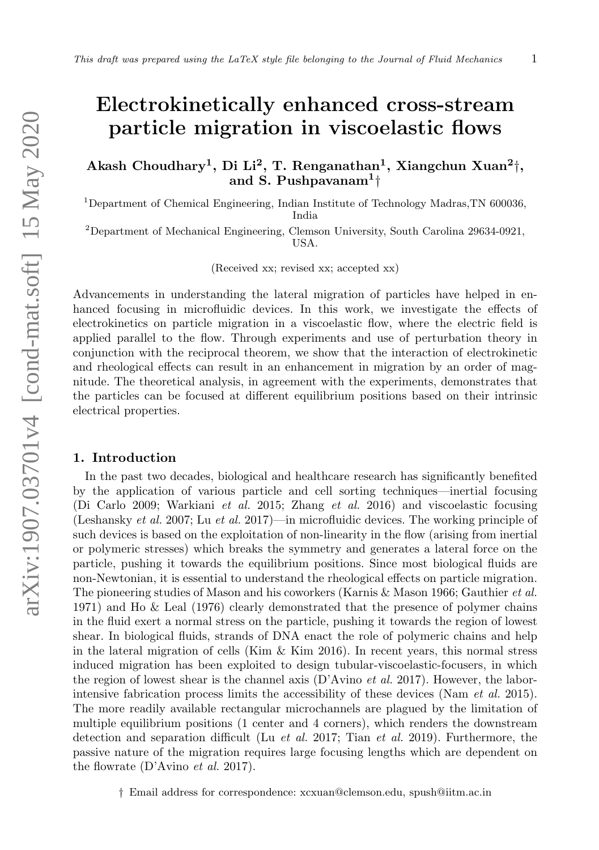# Electrokinetically enhanced cross-stream particle migration in viscoelastic flows

Akash Choudhary<sup>1</sup>, Di Li<sup>2</sup>, T. Renganathan<sup>1</sup>, Xiangchun Xuan<sup>2</sup>†, and S. Pushpavanam<sup>1</sup><sup>†</sup>

 $1$ Department of Chemical Engineering, Indian Institute of Technology Madras,TN 600036, India

<sup>2</sup>Department of Mechanical Engineering, Clemson University, South Carolina 29634-0921, USA.

(Received xx; revised xx; accepted xx)

Advancements in understanding the lateral migration of particles have helped in enhanced focusing in microfluidic devices. In this work, we investigate the effects of electrokinetics on particle migration in a viscoelastic flow, where the electric field is applied parallel to the flow. Through experiments and use of perturbation theory in conjunction with the reciprocal theorem, we show that the interaction of electrokinetic and rheological effects can result in an enhancement in migration by an order of magnitude. The theoretical analysis, in agreement with the experiments, demonstrates that the particles can be focused at different equilibrium positions based on their intrinsic electrical properties.

### 1. Introduction

In the past two decades, biological and healthcare research has significantly benefited by the application of various particle and cell sorting techniques—inertial focusing (Di Carlo 2009; Warkiani et al. 2015; Zhang et al. 2016) and viscoelastic focusing (Leshansky et al. 2007; Lu et al. 2017)—in microfluidic devices. The working principle of such devices is based on the exploitation of non-linearity in the flow (arising from inertial or polymeric stresses) which breaks the symmetry and generates a lateral force on the particle, pushing it towards the equilibrium positions. Since most biological fluids are non-Newtonian, it is essential to understand the rheological effects on particle migration. The pioneering studies of Mason and his coworkers (Karnis & Mason 1966; Gauthier et al. 1971) and Ho & Leal (1976) clearly demonstrated that the presence of polymer chains in the fluid exert a normal stress on the particle, pushing it towards the region of lowest shear. In biological fluids, strands of DNA enact the role of polymeric chains and help in the lateral migration of cells (Kim  $\&$  Kim 2016). In recent years, this normal stress induced migration has been exploited to design tubular-viscoelastic-focusers, in which the region of lowest shear is the channel axis (D'Avino *et al.* 2017). However, the laborintensive fabrication process limits the accessibility of these devices (Nam et al. 2015). The more readily available rectangular microchannels are plagued by the limitation of multiple equilibrium positions (1 center and 4 corners), which renders the downstream detection and separation difficult (Lu et al. 2017; Tian et al. 2019). Furthermore, the passive nature of the migration requires large focusing lengths which are dependent on the flowrate (D'Avino et al. 2017).

† Email address for correspondence: xcxuan@clemson.edu, spush@iitm.ac.in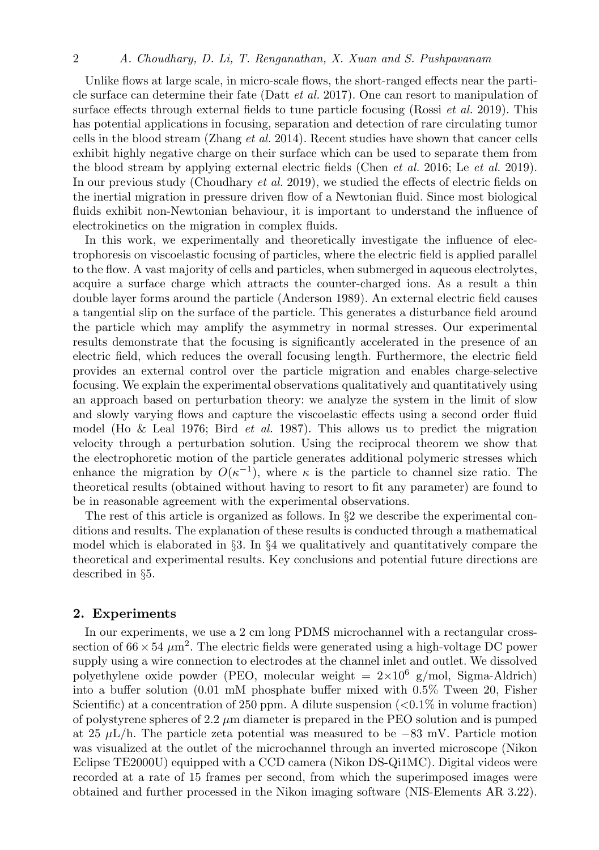Unlike flows at large scale, in micro-scale flows, the short-ranged effects near the particle surface can determine their fate (Datt et al. 2017). One can resort to manipulation of surface effects through external fields to tune particle focusing (Rossi *et al.* 2019). This has potential applications in focusing, separation and detection of rare circulating tumor cells in the blood stream (Zhang et al. 2014). Recent studies have shown that cancer cells exhibit highly negative charge on their surface which can be used to separate them from the blood stream by applying external electric fields (Chen et al. 2016; Le et al. 2019). In our previous study (Choudhary *et al.* 2019), we studied the effects of electric fields on the inertial migration in pressure driven flow of a Newtonian fluid. Since most biological fluids exhibit non-Newtonian behaviour, it is important to understand the influence of electrokinetics on the migration in complex fluids.

In this work, we experimentally and theoretically investigate the influence of electrophoresis on viscoelastic focusing of particles, where the electric field is applied parallel to the flow. A vast majority of cells and particles, when submerged in aqueous electrolytes, acquire a surface charge which attracts the counter-charged ions. As a result a thin double layer forms around the particle (Anderson 1989). An external electric field causes a tangential slip on the surface of the particle. This generates a disturbance field around the particle which may amplify the asymmetry in normal stresses. Our experimental results demonstrate that the focusing is significantly accelerated in the presence of an electric field, which reduces the overall focusing length. Furthermore, the electric field provides an external control over the particle migration and enables charge-selective focusing. We explain the experimental observations qualitatively and quantitatively using an approach based on perturbation theory: we analyze the system in the limit of slow and slowly varying flows and capture the viscoelastic effects using a second order fluid model (Ho & Leal 1976; Bird *et al.* 1987). This allows us to predict the migration velocity through a perturbation solution. Using the reciprocal theorem we show that the electrophoretic motion of the particle generates additional polymeric stresses which enhance the migration by  $O(\kappa^{-1})$ , where  $\kappa$  is the particle to channel size ratio. The theoretical results (obtained without having to resort to fit any parameter) are found to be in reasonable agreement with the experimental observations.

The rest of this article is organized as follows. In  $\S 2$  we describe the experimental conditions and results. The explanation of these results is conducted through a mathematical model which is elaborated in  $\S 3$ . In  $\S 4$  we qualitatively and quantitatively compare the theoretical and experimental results. Key conclusions and potential future directions are described in §5.

## 2. Experiments

In our experiments, we use a 2 cm long PDMS microchannel with a rectangular crosssection of  $66 \times 54 \ \mu \text{m}^2$ . The electric fields were generated using a high-voltage DC power supply using a wire connection to electrodes at the channel inlet and outlet. We dissolved polyethylene oxide powder (PEO, molecular weight  $= 2 \times 10^6$  g/mol, Sigma-Aldrich) into a buffer solution (0.01 mM phosphate buffer mixed with 0.5% Tween 20, Fisher Scientific) at a concentration of 250 ppm. A dilute suspension  $\left($  <0.1% in volume fraction) of polystyrene spheres of  $2.2 \mu m$  diameter is prepared in the PEO solution and is pumped at 25  $\mu$ L/h. The particle zeta potential was measured to be −83 mV. Particle motion was visualized at the outlet of the microchannel through an inverted microscope (Nikon Eclipse TE2000U) equipped with a CCD camera (Nikon DS-Qi1MC). Digital videos were recorded at a rate of 15 frames per second, from which the superimposed images were obtained and further processed in the Nikon imaging software (NIS-Elements AR 3.22).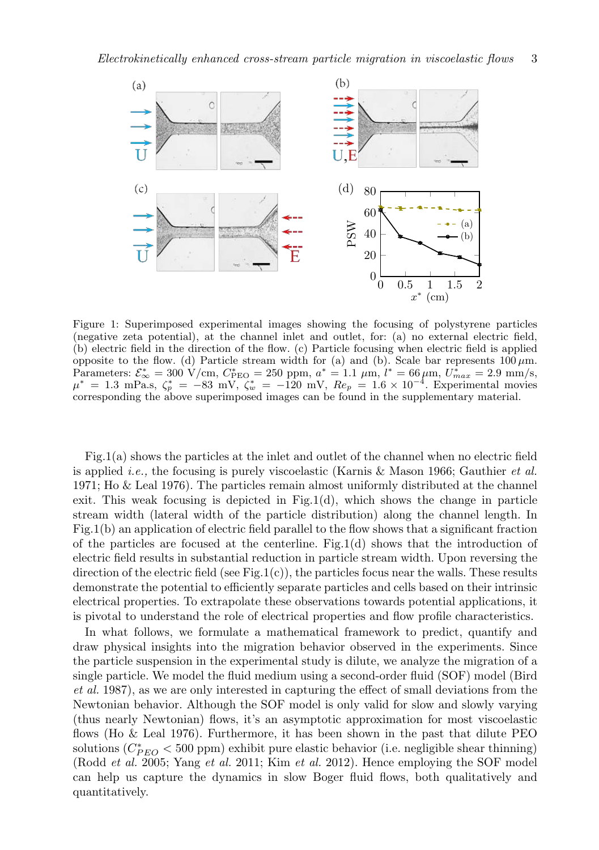

Figure 1: Superimposed experimental images showing the focusing of polystyrene particles (negative zeta potential), at the channel inlet and outlet, for: (a) no external electric field, (b) electric field in the direction of the flow. (c) Particle focusing when electric field is applied opposite to the flow. (d) Particle stream width for (a) and (b). Scale bar represents  $100 \,\mu \text{m}$ . Parameters:  $\mathcal{E}_{\infty}^{*} = 300 \text{ V/cm}, C_{\text{PEO}}^{*} = 250 \text{ ppm}, a^{*} = 1.1 \mu \text{m}, l^{*} = 66 \mu \text{m}, U_{max}^{*} = 2.9 \text{ mm/s},$  $\mu^* = 1.3 \text{ mPa.s}, \zeta_p^* = -83 \text{ mV}, \zeta_w^* = -120 \text{ mV}, Re_p = 1.6 \times 10^{-4}.$  Experimental movies corresponding the above superimposed images can be found in the supplementary material.

Fig.1(a) shows the particles at the inlet and outlet of the channel when no electric field is applied i.e., the focusing is purely viscoelastic (Karnis & Mason 1966; Gauthier et al. 1971; Ho & Leal 1976). The particles remain almost uniformly distributed at the channel exit. This weak focusing is depicted in Fig.1(d), which shows the change in particle stream width (lateral width of the particle distribution) along the channel length. In Fig.1(b) an application of electric field parallel to the flow shows that a significant fraction of the particles are focused at the centerline. Fig.1(d) shows that the introduction of electric field results in substantial reduction in particle stream width. Upon reversing the direction of the electric field (see Fig.1(c)), the particles focus near the walls. These results demonstrate the potential to efficiently separate particles and cells based on their intrinsic electrical properties. To extrapolate these observations towards potential applications, it is pivotal to understand the role of electrical properties and flow profile characteristics.

In what follows, we formulate a mathematical framework to predict, quantify and draw physical insights into the migration behavior observed in the experiments. Since the particle suspension in the experimental study is dilute, we analyze the migration of a single particle. We model the fluid medium using a second-order fluid (SOF) model (Bird et al. 1987), as we are only interested in capturing the effect of small deviations from the Newtonian behavior. Although the SOF model is only valid for slow and slowly varying (thus nearly Newtonian) flows, it's an asymptotic approximation for most viscoelastic flows (Ho & Leal 1976). Furthermore, it has been shown in the past that dilute PEO solutions  $(C_{PEO}^* < 500$  ppm) exhibit pure elastic behavior (i.e. negligible shear thinning) (Rodd et al. 2005; Yang et al. 2011; Kim et al. 2012). Hence employing the SOF model can help us capture the dynamics in slow Boger fluid flows, both qualitatively and quantitatively.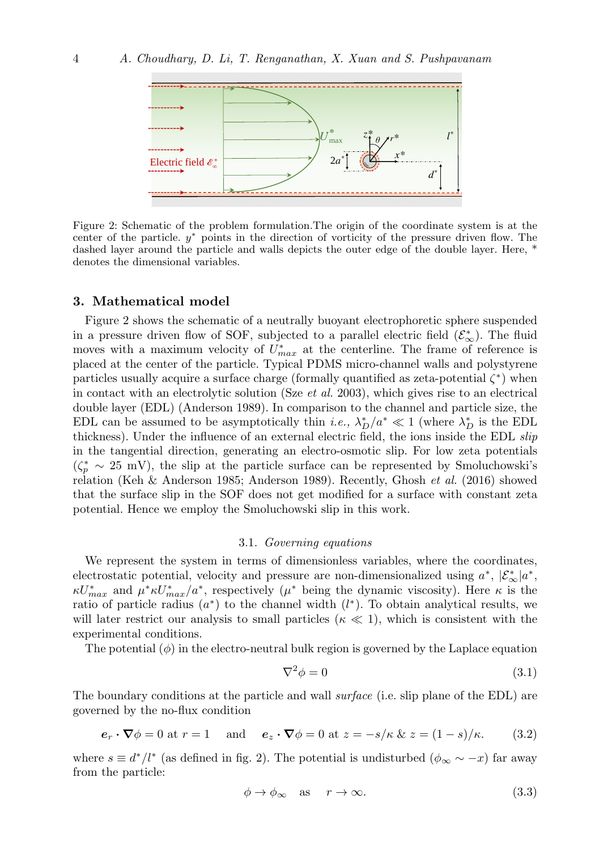

Figure 2: Schematic of the problem formulation.The origin of the coordinate system is at the center of the particle.  $y^*$  points in the direction of vorticity of the pressure driven flow. The dashed layer around the particle and walls depicts the outer edge of the double layer. Here, \* denotes the dimensional variables.

### 3. Mathematical model

Figure 2 shows the schematic of a neutrally buoyant electrophoretic sphere suspended in a pressure driven flow of SOF, subjected to a parallel electric field  $(\mathcal{E}_{\infty}^{*})$ . The fluid moves with a maximum velocity of  $U_{max}^*$  at the centerline. The frame of reference is placed at the center of the particle. Typical PDMS micro-channel walls and polystyrene particles usually acquire a surface charge (formally quantified as zeta-potential  $\zeta^*$ ) when in contact with an electrolytic solution (Sze *et al.* 2003), which gives rise to an electrical double layer (EDL) (Anderson 1989). In comparison to the channel and particle size, the EDL can be assumed to be asymptotically thin *i.e.*,  $\lambda_D^*/a^* \ll 1$  (where  $\lambda_D^*$  is the EDL thickness). Under the influence of an external electric field, the ions inside the EDL slip in the tangential direction, generating an electro-osmotic slip. For low zeta potentials  $(\zeta_p^* \sim 25 \text{ mV})$ , the slip at the particle surface can be represented by Smoluchowski's relation (Keh & Anderson 1985; Anderson 1989). Recently, Ghosh et al. (2016) showed that the surface slip in the SOF does not get modified for a surface with constant zeta potential. Hence we employ the Smoluchowski slip in this work.

#### 3.1. Governing equations

We represent the system in terms of dimensionless variables, where the coordinates, electrostatic potential, velocity and pressure are non-dimensionalized using  $a^*$ ,  $|\mathcal{E}_{\infty}^*|a^*$ ,  $\kappa U_{max}^*$  and  $\mu^* \kappa U_{max}^* / a^*$ , respectively  $(\mu^*$  being the dynamic viscosity). Here  $\kappa$  is the ratio of particle radius  $(a^*)$  to the channel width  $(l^*)$ . To obtain analytical results, we will later restrict our analysis to small particles ( $\kappa \ll 1$ ), which is consistent with the experimental conditions.

The potential  $(\phi)$  in the electro-neutral bulk region is governed by the Laplace equation

$$
\nabla^2 \phi = 0 \tag{3.1}
$$

The boundary conditions at the particle and wall *surface* (i.e. slip plane of the EDL) are governed by the no-flux condition

$$
\mathbf{e}_r \cdot \nabla \phi = 0 \text{ at } r = 1 \quad \text{and} \quad \mathbf{e}_z \cdot \nabla \phi = 0 \text{ at } z = -s/\kappa \& z = (1 - s)/\kappa. \tag{3.2}
$$

where  $s \equiv d^*/l^*$  (as defined in fig. 2). The potential is undisturbed  $(\phi_{\infty} \sim -x)$  far away from the particle:

$$
\phi \to \phi_{\infty} \quad \text{as} \quad r \to \infty. \tag{3.3}
$$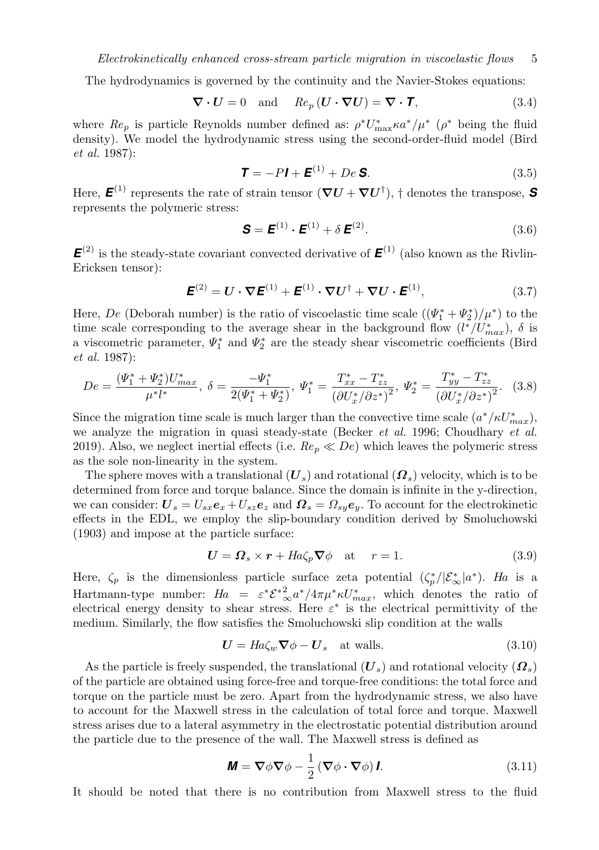The hydrodynamics is governed by the continuity and the Navier-Stokes equations:

$$
\nabla \cdot \mathbf{U} = 0 \quad \text{and} \quad Re_p \left( \mathbf{U} \cdot \nabla \mathbf{U} \right) = \nabla \cdot \mathbf{T}, \tag{3.4}
$$

where  $Re_p$  is particle Reynolds number defined as:  $\rho^* U_{\text{max}}^* \kappa a^* / \mu^*$  ( $\rho^*$  being the fluid density). We model the hydrodynamic stress using the second-order-fluid model (Bird et al. 1987):

$$
\mathbf{T} = -P\mathbf{I} + \mathbf{E}^{(1)} + De \mathbf{S}.
$$
 (3.5)

Here,  $\boldsymbol{E}^{(1)}$  represents the rate of strain tensor  $(\boldsymbol{\nabla} \boldsymbol{U} + \boldsymbol{\nabla} \boldsymbol{U}^{\dagger})$ ,  $\dagger$  denotes the transpose, **S** represents the polymeric stress:

$$
\mathbf{S} = \mathbf{E}^{(1)} \cdot \mathbf{E}^{(1)} + \delta \mathbf{E}^{(2)}.
$$
 (3.6)

 $\mathbf{E}^{(2)}$  is the steady-state covariant convected derivative of  $\mathbf{E}^{(1)}$  (also known as the Rivlin-Ericksen tensor):

$$
\boldsymbol{E}^{(2)} = \boldsymbol{U} \cdot \boldsymbol{\nabla} \boldsymbol{E}^{(1)} + \boldsymbol{E}^{(1)} \cdot \boldsymbol{\nabla} \boldsymbol{U}^{\dagger} + \boldsymbol{\nabla} \boldsymbol{U} \cdot \boldsymbol{E}^{(1)},
$$
\n(3.7)

Here, De (Deborah number) is the ratio of viscoelastic time scale  $((\Psi_1^* + \Psi_2^*)/\mu^*)$  to the time scale corresponding to the average shear in the background flow  $(l^*/U^*_{max})$ ,  $\delta$  is a viscometric parameter,  $\Psi_1^*$  and  $\Psi_2^*$  are the steady shear viscometric coefficients (Bird et al. 1987):

$$
De = \frac{(\Psi_1^* + \Psi_2^*) U_{max}^*}{\mu^* l^*}, \ \delta = \frac{-\Psi_1^*}{2(\Psi_1^* + \Psi_2^*)}, \ \Psi_1^* = \frac{T_{xx}^* - T_{zz}^*}{(\partial U_x^*/\partial z^*)^2}, \ \Psi_2^* = \frac{T_{yy}^* - T_{zz}^*}{(\partial U_x^*/\partial z^*)^2}.
$$
 (3.8)

Since the migration time scale is much larger than the convective time scale  $(a^*/\kappa U^*_{max})$ , we analyze the migration in quasi steady-state (Becker *et al.* 1996; Choudhary *et al.* 2019). Also, we neglect inertial effects (i.e.  $Re_p \ll De$ ) which leaves the polymeric stress as the sole non-linearity in the system.

The sphere moves with a translational  $(U_s)$  and rotational  $(\Omega_s)$  velocity, which is to be determined from force and torque balance. Since the domain is infinite in the y-direction, we can consider:  $U_s = U_{sx}e_x + U_{sz}e_z$  and  $\Omega_s = \Omega_{sy}e_y$ . To account for the electrokinetic effects in the EDL, we employ the slip-boundary condition derived by Smoluchowski (1903) and impose at the particle surface:

$$
U = \Omega_s \times r + H a \zeta_p \nabla \phi \quad \text{at} \quad r = 1. \tag{3.9}
$$

Here,  $\zeta_p$  is the dimensionless particle surface zeta potential  $(\zeta_p^*/|\mathcal{E}_{\infty}^*|a^*)$ . Ha is a Hartmann-type number:  $Ha = \varepsilon^* \mathcal{E}^*_{\infty} a^* / 4\pi \mu^* \kappa U_{max}^*$ , which denotes the ratio of electrical energy density to shear stress. Here  $\varepsilon^*$  is the electrical permittivity of the medium. Similarly, the flow satisfies the Smoluchowski slip condition at the walls

$$
U = Ha\zeta_w \nabla \phi - U_s \quad \text{at walls.} \tag{3.10}
$$

As the particle is freely suspended, the translational  $(U_s)$  and rotational velocity  $(\Omega_s)$ of the particle are obtained using force-free and torque-free conditions: the total force and torque on the particle must be zero. Apart from the hydrodynamic stress, we also have to account for the Maxwell stress in the calculation of total force and torque. Maxwell stress arises due to a lateral asymmetry in the electrostatic potential distribution around the particle due to the presence of the wall. The Maxwell stress is defined as

$$
\mathbf{M} = \nabla \phi \nabla \phi - \frac{1}{2} \left( \nabla \phi \cdot \nabla \phi \right) \mathbf{I}.
$$
 (3.11)

It should be noted that there is no contribution from Maxwell stress to the fluid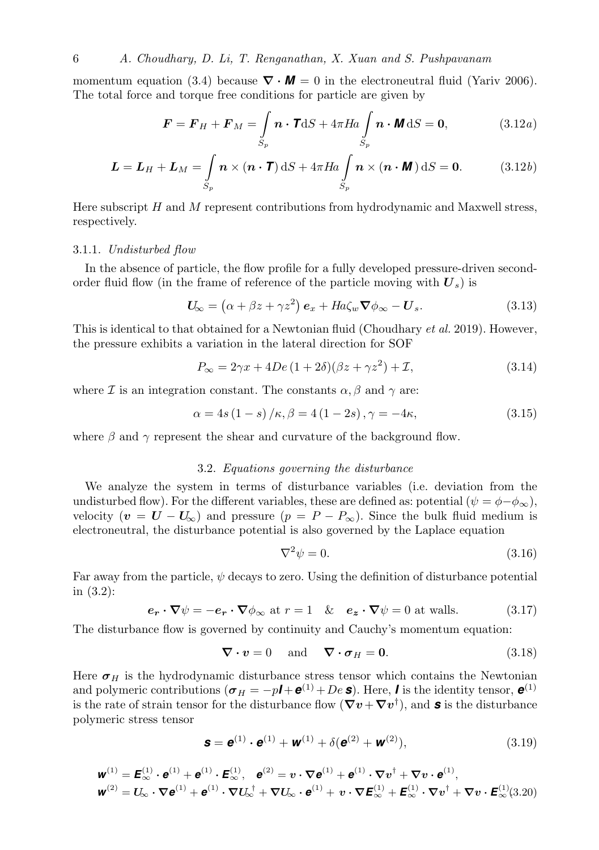6 A. Choudhary, D. Li, T. Renganathan, X. Xuan and S. Pushpavanam

momentum equation (3.4) because  $\nabla \cdot \mathbf{M} = 0$  in the electroneutral fluid (Yariv 2006). The total force and torque free conditions for particle are given by

$$
\boldsymbol{F} = \boldsymbol{F}_H + \boldsymbol{F}_M = \int_{S_p} \boldsymbol{n} \cdot \mathbf{T} \, \mathrm{d}S + 4\pi H a \int_{S_p} \boldsymbol{n} \cdot \boldsymbol{M} \, \mathrm{d}S = \mathbf{0}, \tag{3.12a}
$$

$$
\mathbf{L} = \mathbf{L}_H + \mathbf{L}_M = \int_{S_p} \mathbf{n} \times (\mathbf{n} \cdot \mathbf{T}) \, \mathrm{d}S + 4\pi H a \int_{S_p} \mathbf{n} \times (\mathbf{n} \cdot \mathbf{M}) \, \mathrm{d}S = \mathbf{0}.\tag{3.12b}
$$

Here subscript  $H$  and  $M$  represent contributions from hydrodynamic and Maxwell stress, respectively.

#### 3.1.1. Undisturbed flow

In the absence of particle, the flow profile for a fully developed pressure-driven secondorder fluid flow (in the frame of reference of the particle moving with  $U_s$ ) is

$$
U_{\infty} = (\alpha + \beta z + \gamma z^2) e_x + H a \zeta_w \nabla \phi_{\infty} - U_s. \tag{3.13}
$$

This is identical to that obtained for a Newtonian fluid (Choudhary et al. 2019). However, the pressure exhibits a variation in the lateral direction for SOF

$$
P_{\infty} = 2\gamma x + 4De\left(1 + 2\delta\right)\left(\beta z + \gamma z^2\right) + \mathcal{I},\tag{3.14}
$$

where  $\mathcal I$  is an integration constant. The constants  $\alpha, \beta$  and  $\gamma$  are:

$$
\alpha = 4s(1 - s) / \kappa, \beta = 4(1 - 2s), \gamma = -4\kappa,
$$
\n(3.15)

where  $\beta$  and  $\gamma$  represent the shear and curvature of the background flow.

### 3.2. Equations governing the disturbance

We analyze the system in terms of disturbance variables (i.e. deviation from the undisturbed flow). For the different variables, these are defined as: potential  $(\psi = \phi - \phi_{\infty})$ , velocity  $(v = U - U_{\infty})$  and pressure  $(p = P - P_{\infty})$ . Since the bulk fluid medium is electroneutral, the disturbance potential is also governed by the Laplace equation

$$
\nabla^2 \psi = 0. \tag{3.16}
$$

Far away from the particle,  $\psi$  decays to zero. Using the definition of disturbance potential in (3.2):

$$
\mathbf{e_r} \cdot \nabla \psi = -\mathbf{e_r} \cdot \nabla \phi_{\infty} \text{ at } r = 1 \quad \& \quad \mathbf{e_z} \cdot \nabla \psi = 0 \text{ at walls.} \tag{3.17}
$$

The disturbance flow is governed by continuity and Cauchy's momentum equation:

$$
\nabla \cdot \mathbf{v} = 0 \quad \text{and} \quad \nabla \cdot \mathbf{\sigma}_H = \mathbf{0}.
$$
 (3.18)

Here  $\sigma_H$  is the hydrodynamic disturbance stress tensor which contains the Newtonian and polymeric contributions  $(\sigma_H = -pI + e^{(1)} + De \, \mathbf{s})$ . Here, *I* is the identity tensor,  $e^{(1)}$ is the rate of strain tensor for the disturbance flow  $(\nabla v + \nabla v^{\dagger})$ , and **s** is the disturbance polymeric stress tensor

$$
\mathbf{s} = \mathbf{e}^{(1)} \cdot \mathbf{e}^{(1)} + \mathbf{w}^{(1)} + \delta(\mathbf{e}^{(2)} + \mathbf{w}^{(2)}),
$$
(3.19)

$$
\mathbf{w}^{(1)} = \mathbf{E}_{\infty}^{(1)} \cdot \mathbf{e}^{(1)} + \mathbf{e}^{(1)} \cdot \mathbf{E}_{\infty}^{(1)}, \quad \mathbf{e}^{(2)} = v \cdot \nabla \mathbf{e}^{(1)} + \mathbf{e}^{(1)} \cdot \nabla v^{\dagger} + \nabla v \cdot \mathbf{e}^{(1)},
$$
  

$$
\mathbf{w}^{(2)} = U_{\infty} \cdot \nabla \mathbf{e}^{(1)} + \mathbf{e}^{(1)} \cdot \nabla U_{\infty}^{\dagger} + \nabla U_{\infty} \cdot \mathbf{e}^{(1)} + v \cdot \nabla \mathbf{E}_{\infty}^{(1)} + \mathbf{E}_{\infty}^{(1)} \cdot \nabla v^{\dagger} + \nabla v \cdot \mathbf{E}_{\infty}^{(1)}(3.20)
$$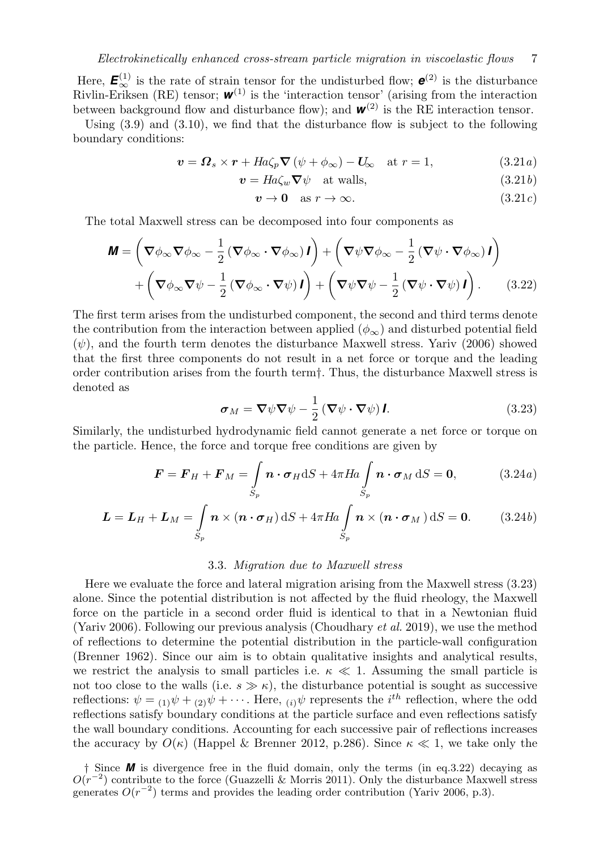Here,  $\mathbf{E}^{(1)}_{\infty}$  is the rate of strain tensor for the undisturbed flow;  $\mathbf{e}^{(2)}$  is the disturbance Rivlin-Eriksen (RE) tensor;  $w^{(1)}$  is the 'interaction tensor' (arising from the interaction between background flow and disturbance flow); and  $w^{(2)}$  is the RE interaction tensor.

Using  $(3.9)$  and  $(3.10)$ , we find that the disturbance flow is subject to the following boundary conditions:

$$
\mathbf{v} = \mathbf{\Omega}_s \times \mathbf{r} + H a \zeta_p \nabla (\psi + \phi_\infty) - \mathbf{U}_\infty \quad \text{at } r = 1,
$$
 (3.21*a*)

 $v = Ha\zeta_w \nabla \psi$  at walls, (3.21b)

$$
v \to 0 \quad \text{as } r \to \infty. \tag{3.21c}
$$

The total Maxwell stress can be decomposed into four components as

$$
\mathbf{M} = \left(\nabla \phi_{\infty} \nabla \phi_{\infty} - \frac{1}{2} \left( \nabla \phi_{\infty} \cdot \nabla \phi_{\infty} \right) \mathbf{I} \right) + \left( \nabla \psi \nabla \phi_{\infty} - \frac{1}{2} \left( \nabla \psi \cdot \nabla \phi_{\infty} \right) \mathbf{I} \right) + \left( \nabla \phi_{\infty} \nabla \psi - \frac{1}{2} \left( \nabla \phi_{\infty} \cdot \nabla \psi \right) \mathbf{I} \right) + \left( \nabla \psi \nabla \psi - \frac{1}{2} \left( \nabla \psi \cdot \nabla \psi \right) \mathbf{I} \right).
$$
 (3.22)

The first term arises from the undisturbed component, the second and third terms denote the contribution from the interaction between applied  $(\phi_{\infty})$  and disturbed potential field  $(\psi)$ , and the fourth term denotes the disturbance Maxwell stress. Yariv (2006) showed that the first three components do not result in a net force or torque and the leading order contribution arises from the fourth term†. Thus, the disturbance Maxwell stress is denoted as

$$
\boldsymbol{\sigma}_M = \boldsymbol{\nabla}\psi \boldsymbol{\nabla}\psi - \frac{1}{2} \left( \boldsymbol{\nabla}\psi \cdot \boldsymbol{\nabla}\psi \right) \boldsymbol{I}.
$$
 (3.23)

Similarly, the undisturbed hydrodynamic field cannot generate a net force or torque on the particle. Hence, the force and torque free conditions are given by

$$
\boldsymbol{F} = \boldsymbol{F}_H + \boldsymbol{F}_M = \int_{S_p} \boldsymbol{n} \cdot \boldsymbol{\sigma}_H \mathrm{d}S + 4\pi H a \int_{S_p} \boldsymbol{n} \cdot \boldsymbol{\sigma}_M \mathrm{d}S = \mathbf{0}, \qquad (3.24a)
$$

$$
\mathbf{L} = \mathbf{L}_H + \mathbf{L}_M = \int_{S_p} \mathbf{n} \times (\mathbf{n} \cdot \boldsymbol{\sigma}_H) \, \mathrm{d}S + 4\pi H a \int_{S_p} \mathbf{n} \times (\mathbf{n} \cdot \boldsymbol{\sigma}_M) \, \mathrm{d}S = \mathbf{0}.
$$
 (3.24b)

#### 3.3. Migration due to Maxwell stress

Here we evaluate the force and lateral migration arising from the Maxwell stress (3.23) alone. Since the potential distribution is not affected by the fluid rheology, the Maxwell force on the particle in a second order fluid is identical to that in a Newtonian fluid (Yariv 2006). Following our previous analysis (Choudhary et al. 2019), we use the method of reflections to determine the potential distribution in the particle-wall configuration (Brenner 1962). Since our aim is to obtain qualitative insights and analytical results, we restrict the analysis to small particles i.e.  $\kappa \ll 1$ . Assuming the small particle is not too close to the walls (i.e.  $s \gg \kappa$ ), the disturbance potential is sought as successive reflections:  $\psi = (1)\psi + (2)\psi + \cdots$ . Here,  $(i)\psi$  represents the *i*<sup>th</sup> reflection, where the odd reflections satisfy boundary conditions at the particle surface and even reflections satisfy the wall boundary conditions. Accounting for each successive pair of reflections increases the accuracy by  $O(\kappa)$  (Happel & Brenner 2012, p.286). Since  $\kappa \ll 1$ , we take only the

<sup>†</sup> Since *M* is divergence free in the fluid domain, only the terms (in eq.3.22) decaying as  $O(r^{-2})$  contribute to the force (Guazzelli & Morris 2011). Only the disturbance Maxwell stress generates  $O(r^{-2})$  terms and provides the leading order contribution (Yariv 2006, p.3).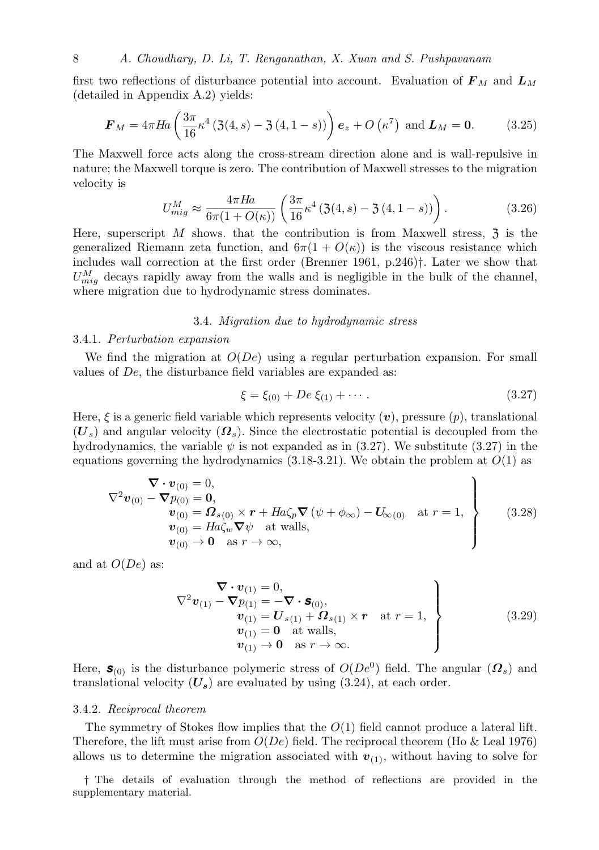first two reflections of disturbance potential into account. Evaluation of  $\mathbf{F}_M$  and  $\mathbf{L}_M$ (detailed in Appendix A.2) yields:

$$
\boldsymbol{F}_M = 4\pi Ha \left( \frac{3\pi}{16} \kappa^4 \left( 3(4, s) - 3(4, 1 - s) \right) \right) \boldsymbol{e}_z + O \left( \kappa^7 \right) \text{ and } \boldsymbol{L}_M = \mathbf{0}. \tag{3.25}
$$

The Maxwell force acts along the cross-stream direction alone and is wall-repulsive in nature; the Maxwell torque is zero. The contribution of Maxwell stresses to the migration velocity is

$$
U_{mig}^{M} \approx \frac{4\pi Ha}{6\pi (1 + O(\kappa))} \left( \frac{3\pi}{16} \kappa^4 \left( 3(4, s) - 3(4, 1 - s) \right) \right). \tag{3.26}
$$

Here, superscript  $M$  shows. that the contribution is from Maxwell stress,  $\mathfrak{Z}$  is the generalized Riemann zeta function, and  $6\pi(1 + O(\kappa))$  is the viscous resistance which includes wall correction at the first order (Brenner 1961, p.246)†. Later we show that  $U_{mig}^M$  decays rapidly away from the walls and is negligible in the bulk of the channel, where migration due to hydrodynamic stress dominates.

## 3.4. Migration due to hydrodynamic stress

#### 3.4.1. Perturbation expansion

We find the migration at  $O(De)$  using a regular perturbation expansion. For small values of De, the disturbance field variables are expanded as:

$$
\xi = \xi_{(0)} + De \xi_{(1)} + \cdots. \tag{3.27}
$$

Here,  $\xi$  is a generic field variable which represents velocity  $(v)$ , pressure  $(p)$ , translational  $(U<sub>s</sub>)$  and angular velocity  $(\Omega<sub>s</sub>)$ . Since the electrostatic potential is decoupled from the hydrodynamics, the variable  $\psi$  is not expanded as in (3.27). We substitute (3.27) in the equations governing the hydrodynamics  $(3.18-3.21)$ . We obtain the problem at  $O(1)$  as

$$
\nabla \cdot \mathbf{v}_{(0)} = 0,
$$
  
\n
$$
\nabla^2 \mathbf{v}_{(0)} - \nabla p_{(0)} = \mathbf{0},
$$
  
\n
$$
\mathbf{v}_{(0)} = \mathbf{\Omega}_{s(0)} \times \mathbf{r} + H a \zeta_p \nabla (\psi + \phi_\infty) - \mathbf{U}_{\infty(0)} \text{ at } r = 1,
$$
  
\n
$$
\mathbf{v}_{(0)} = H a \zeta_w \nabla \psi \text{ at walls},
$$
  
\n
$$
\mathbf{v}_{(0)} \to \mathbf{0} \text{ as } r \to \infty,
$$
\n(3.28)

and at  $O(De)$  as:

$$
\nabla \cdot \mathbf{v}_{(1)} = 0,
$$
\n
$$
\nabla^2 \mathbf{v}_{(1)} - \nabla p_{(1)} = -\nabla \cdot \mathbf{s}_{(0)},
$$
\n
$$
\mathbf{v}_{(1)} = \mathbf{U}_{s(1)} + \mathbf{\Omega}_{s(1)} \times \mathbf{r} \quad \text{at } r = 1,
$$
\n
$$
\mathbf{v}_{(1)} = \mathbf{0} \quad \text{at walls},
$$
\n
$$
\mathbf{v}_{(1)} \to \mathbf{0} \quad \text{as } r \to \infty.
$$
\n(3.29)

Here,  $\mathbf{s}_{(0)}$  is the disturbance polymeric stress of  $O(De^{0})$  field. The angular  $(\mathbf{\Omega}_{s})$  and translational velocity  $(U_s)$  are evaluated by using (3.24), at each order.

#### 3.4.2. Reciprocal theorem

The symmetry of Stokes flow implies that the  $O(1)$  field cannot produce a lateral lift. Therefore, the lift must arise from  $O(De)$  field. The reciprocal theorem (Ho & Leal 1976) allows us to determine the migration associated with  $v_{(1)}$ , without having to solve for

† The details of evaluation through the method of reflections are provided in the supplementary material.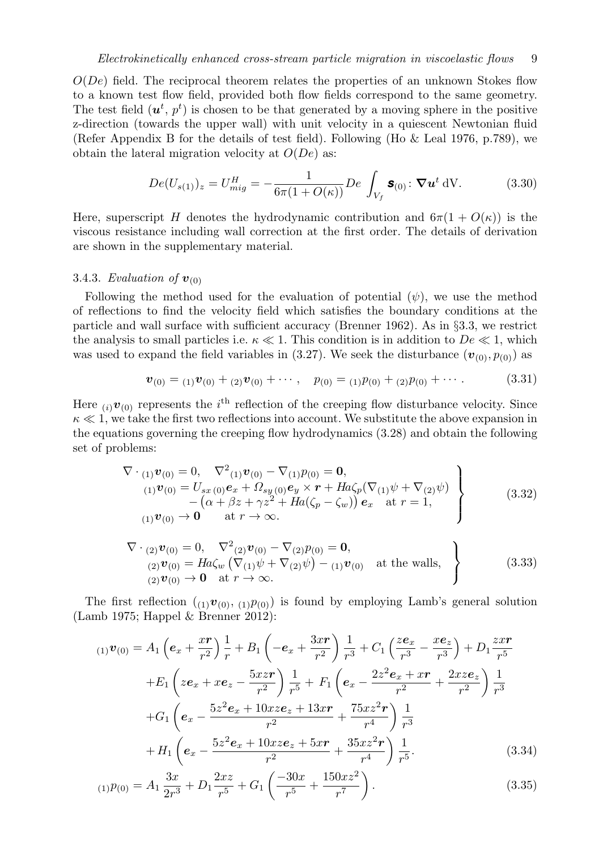$O(De)$  field. The reciprocal theorem relates the properties of an unknown Stokes flow to a known test flow field, provided both flow fields correspond to the same geometry. The test field  $(u^t, p^t)$  is chosen to be that generated by a moving sphere in the positive z-direction (towards the upper wall) with unit velocity in a quiescent Newtonian fluid (Refer Appendix B for the details of test field). Following (Ho & Leal 1976, p.789), we obtain the lateral migration velocity at  $O(De)$  as:

$$
De(U_{s(1)})_z = U_{mig}^H = -\frac{1}{6\pi(1 + O(\kappa))} De \int_{V_f} \mathbf{s}_{(0)} : \nabla u^t dV.
$$
 (3.30)

Here, superscript H denotes the hydrodynamic contribution and  $6\pi(1+O(\kappa))$  is the viscous resistance including wall correction at the first order. The details of derivation are shown in the supplementary material.

#### 3.4.3. Evaluation of  $v_{(0)}$

Following the method used for the evaluation of potential  $(\psi)$ , we use the method of reflections to find the velocity field which satisfies the boundary conditions at the particle and wall surface with sufficient accuracy (Brenner 1962). As in §3.3, we restrict the analysis to small particles i.e.  $\kappa \ll 1$ . This condition is in addition to  $De \ll 1$ , which was used to expand the field variables in (3.27). We seek the disturbance  $(v_{(0)}, p_{(0)})$  as

$$
\boldsymbol{v}_{(0)} = {}_{(1)}\boldsymbol{v}_{(0)} + {}_{(2)}\boldsymbol{v}_{(0)} + \cdots, \quad p_{(0)} = {}_{(1)}p_{(0)} + {}_{(2)}p_{(0)} + \cdots.
$$
 (3.31)

Here  $(i)$   $\boldsymbol{v}_{(0)}$  represents the  $i^{\text{th}}$  reflection of the creeping flow disturbance velocity. Since  $\kappa \ll 1$ , we take the first two reflections into account. We substitute the above expansion in the equations governing the creeping flow hydrodynamics (3.28) and obtain the following set of problems:

$$
\nabla \cdot {}_{(1)}\mathbf{v}_{(0)} = 0, \nabla^2 {}_{(1)}\mathbf{v}_{(0)} - \nabla {}_{(1)}p_{(0)} = \mathbf{0},
$$
\n
$$
{}_{(1)}\mathbf{v}_{(0)} = U_{sx} {}_{(0)}\mathbf{e}_x + \Omega_{sy} {}_{(0)}\mathbf{e}_y \times \mathbf{r} + H a \zeta_p (\nabla {}_{(1)}\psi + \nabla {}_{(2)}\psi) - (\alpha + \beta z + \gamma z^2 + H a(\zeta_p - \zeta_w)) \mathbf{e}_x \text{ at } r = 1,
$$
\n
$$
{}_{(1)}\mathbf{v}_{(0)} \to \mathbf{0} \text{ at } r \to \infty.
$$
\n(3.32)

$$
\nabla \cdot_{(2)} \mathbf{v}_{(0)} = 0, \nabla^2_{(2)} \mathbf{v}_{(0)} - \nabla_{(2)} p_{(0)} = \mathbf{0}, \n(2) \mathbf{v}_{(0)} = Ha\zeta_w \left( \nabla_{(1)} \psi + \nabla_{(2)} \psi \right) -_{(1)} \mathbf{v}_{(0)} \text{ at the walls, } \n(3.33)
$$
\n
$$
\left.\n\begin{array}{c}\n(3.33) \\
(2) \mathbf{v}_{(0)} \to \mathbf{0} \text{ at } r \to \infty.\n\end{array}\n\right\}
$$

The first reflection  $(1, v_{(0)}, 1, v_{(0)})$  is found by employing Lamb's general solution (Lamb 1975; Happel & Brenner 2012):

$$
(1)\mathbf{v}_{(0)} = A_1 \left( \mathbf{e}_x + \frac{x\mathbf{r}}{r^2} \right) \frac{1}{r} + B_1 \left( -\mathbf{e}_x + \frac{3x\mathbf{r}}{r^2} \right) \frac{1}{r^3} + C_1 \left( \frac{z\mathbf{e}_x}{r^3} - \frac{x\mathbf{e}_z}{r^3} \right) + D_1 \frac{z\mathbf{r}}{r^5} + E_1 \left( z\mathbf{e}_x + x\mathbf{e}_z - \frac{5xz\mathbf{r}}{r^2} \right) \frac{1}{r^5} + F_1 \left( \mathbf{e}_x - \frac{2z^2\mathbf{e}_x + x\mathbf{r}}{r^2} + \frac{2xz\mathbf{e}_z}{r^2} \right) \frac{1}{r^3} + G_1 \left( \mathbf{e}_x - \frac{5z^2\mathbf{e}_x + 10xz\mathbf{e}_z + 13x\mathbf{r}}{r^2} + \frac{75xz^2\mathbf{r}}{r^4} \right) \frac{1}{r^3} + H_1 \left( \mathbf{e}_x - \frac{5z^2\mathbf{e}_x + 10xz\mathbf{e}_z + 5x\mathbf{r}}{r^2} + \frac{35xz^2\mathbf{r}}{r^4} \right) \frac{1}{r^5}.
$$
 (3.34)

$$
(1)P(0) = A_1 \frac{3x}{2r^3} + D_1 \frac{2xz}{r^5} + G_1 \left(\frac{-30x}{r^5} + \frac{150xz^2}{r^7}\right). \tag{3.35}
$$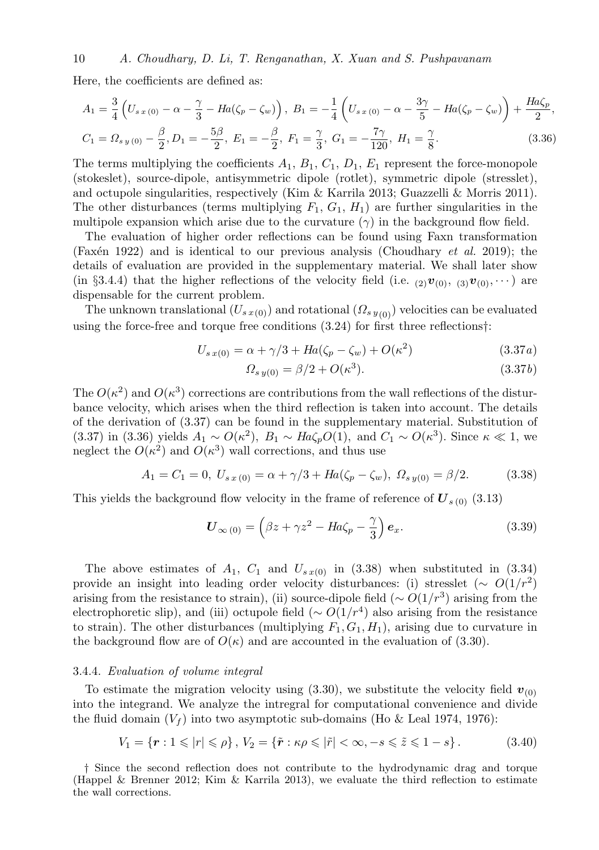## 10 A. Choudhary, D. Li, T. Renganathan, X. Xuan and S. Pushpavanam

Here, the coefficients are defined as:

$$
A_1 = \frac{3}{4} \left( U_{s\,x\,(0)} - \alpha - \frac{\gamma}{3} - Ha(\zeta_p - \zeta_w) \right), \ B_1 = -\frac{1}{4} \left( U_{s\,x\,(0)} - \alpha - \frac{3\gamma}{5} - Ha(\zeta_p - \zeta_w) \right) + \frac{Ha\zeta_p}{2},
$$
  

$$
C_1 = \Omega_{s\,y\,(0)} - \frac{\beta}{2}, D_1 = -\frac{5\beta}{2}, \ E_1 = -\frac{\beta}{2}, \ F_1 = \frac{\gamma}{3}, \ G_1 = -\frac{7\gamma}{120}, \ H_1 = \frac{\gamma}{8}.
$$
 (3.36)

The terms multiplying the coefficients  $A_1, B_1, C_1, D_1, E_1$  represent the force-monopole (stokeslet), source-dipole, antisymmetric dipole (rotlet), symmetric dipole (stresslet), and octupole singularities, respectively (Kim & Karrila 2013; Guazzelli & Morris 2011). The other disturbances (terms multiplying  $F_1, G_1, H_1$ ) are further singularities in the multipole expansion which arise due to the curvature  $(\gamma)$  in the background flow field.

The evaluation of higher order reflections can be found using Faxn transformation (Faxén 1922) and is identical to our previous analysis (Choudhary *et al.* 2019); the details of evaluation are provided in the supplementary material. We shall later show (in §3.4.4) that the higher reflections of the velocity field (i.e.  $_{(2)}v_{(0)}, \,_{(3)}v_{(0)}, \cdots$ ) are dispensable for the current problem.

The unknown translational  $(U_{s x(0)})$  and rotational  $(\Omega_{s y(0)})$  velocities can be evaluated using the force-free and torque free conditions (3.24) for first three reflections†:

$$
U_{s\,x(0)} = \alpha + \gamma/3 + Ha(\zeta_p - \zeta_w) + O(\kappa^2)
$$
\n(3.37*a*)

$$
\Omega_{s\,y(0)} = \beta/2 + O(\kappa^3). \tag{3.37b}
$$

The  $O(\kappa^2)$  and  $O(\kappa^3)$  corrections are contributions from the wall reflections of the disturbance velocity, which arises when the third reflection is taken into account. The details of the derivation of (3.37) can be found in the supplementary material. Substitution of (3.37) in (3.36) yields  $A_1 \sim O(\kappa^2)$ ,  $B_1 \sim Ha\zeta_p O(1)$ , and  $C_1 \sim O(\kappa^3)$ . Since  $\kappa \ll 1$ , we neglect the  $O(\kappa^2)$  and  $O(\kappa^3)$  wall corrections, and thus use

$$
A_1 = C_1 = 0, \ U_{s\,x\,(0)} = \alpha + \gamma/3 + Ha(\zeta_p - \zeta_w), \ \Omega_{s\,y(0)} = \beta/2. \tag{3.38}
$$

This yields the background flow velocity in the frame of reference of  $U_{s(0)}$  (3.13)

$$
\boldsymbol{U}_{\infty(0)} = \left(\beta z + \gamma z^2 - H a \zeta_p - \frac{\gamma}{3}\right) \boldsymbol{e}_x. \tag{3.39}
$$

The above estimates of  $A_1$ ,  $C_1$  and  $U_{s\,x(0)}$  in (3.38) when substituted in (3.34) provide an insight into leading order velocity disturbances: (i) stresslet ( $\sim O(1/r^2)$ arising from the resistance to strain), (ii) source-dipole field ( $\sim O(1/r^3)$  arising from the electrophoretic slip), and (iii) octupole field ( $\sim O(1/r^4)$  also arising from the resistance to strain). The other disturbances (multiplying  $F_1, G_1, H_1$ ), arising due to curvature in the background flow are of  $O(\kappa)$  and are accounted in the evaluation of (3.30).

#### 3.4.4. Evaluation of volume integral

To estimate the migration velocity using  $(3.30)$ , we substitute the velocity field  $v_{(0)}$ into the integrand. We analyze the intregral for computational convenience and divide the fluid domain  $(V_f)$  into two asymptotic sub-domains (Ho & Leal 1974, 1976):

$$
V_1 = \{ \mathbf{r} : 1 \leqslant |r| \leqslant \rho \}, V_2 = \{ \tilde{\mathbf{r}} : \kappa \rho \leqslant |\tilde{r}| < \infty, -s \leqslant \tilde{z} \leqslant 1 - s \} . \tag{3.40}
$$

† Since the second reflection does not contribute to the hydrodynamic drag and torque (Happel & Brenner 2012; Kim & Karrila 2013), we evaluate the third reflection to estimate the wall corrections.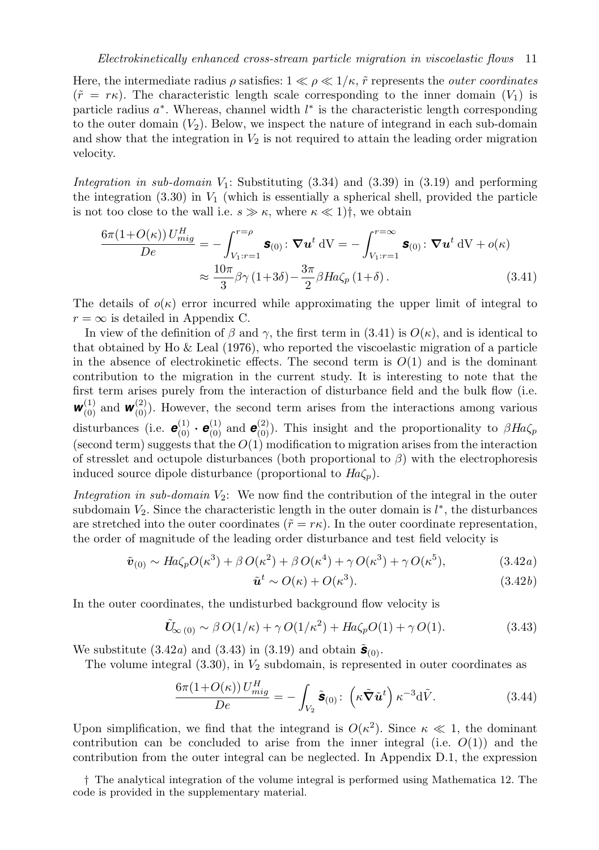Here, the intermediate radius  $\rho$  satisfies:  $1 \ll \rho \ll 1/\kappa$ ,  $\tilde{r}$  represents the *outer coordinates*  $(\tilde{r} = r\kappa)$ . The characteristic length scale corresponding to the inner domain  $(V_1)$  is particle radius  $a^*$ . Whereas, channel width  $l^*$  is the characteristic length corresponding to the outer domain  $(V_2)$ . Below, we inspect the nature of integrand in each sub-domain and show that the integration in  $V_2$  is not required to attain the leading order migration velocity.

Integration in sub-domain  $V_1$ : Substituting  $(3.34)$  and  $(3.39)$  in  $(3.19)$  and performing the integration  $(3.30)$  in  $V_1$  (which is essentially a spherical shell, provided the particle is not too close to the wall i.e.  $s \gg \kappa$ , where  $\kappa \ll 1$ )<sup>†</sup>, we obtain

$$
\frac{6\pi (1+O(\kappa)) U_{mig}^H}{De} = -\int_{V_1:r=1}^{r=\rho} \mathbf{s}_{(0)} \colon \nabla \mathbf{u}^t \, dV = -\int_{V_1:r=1}^{r=\infty} \mathbf{s}_{(0)} \colon \nabla \mathbf{u}^t \, dV + o(\kappa)
$$

$$
\approx \frac{10\pi}{3} \beta \gamma (1+3\delta) - \frac{3\pi}{2} \beta Ha \zeta_p (1+\delta).
$$
(3.41)

The details of  $o(\kappa)$  error incurred while approximating the upper limit of integral to  $r = \infty$  is detailed in Appendix C.

In view of the definition of  $\beta$  and  $\gamma$ , the first term in (3.41) is  $O(\kappa)$ , and is identical to that obtained by Ho  $\&$  Leal (1976), who reported the viscoelastic migration of a particle in the absence of electrokinetic effects. The second term is  $O(1)$  and is the dominant contribution to the migration in the current study. It is interesting to note that the first term arises purely from the interaction of disturbance field and the bulk flow (i.e.  $w_{(0)}^{(1)}$  and  $w_{(0)}^{(2)}$ ). However, the second term arises from the interactions among various disturbances (i.e.  $\mathbf{e}_{(0)}^{(1)} \cdot \mathbf{e}_{(0)}^{(1)}$  and  $\mathbf{e}_{(0)}^{(2)}$ ). This insight and the proportionality to  $\beta H_a \zeta_p$ (second term) suggests that the  $O(1)$  modification to migration arises from the interaction of stresslet and octupole disturbances (both proportional to  $\beta$ ) with the electrophoresis induced source dipole disturbance (proportional to  $Ha\zeta_p$ ).

Integration in sub-domain  $V_2$ : We now find the contribution of the integral in the outer subdomain  $V_2$ . Since the characteristic length in the outer domain is  $l^*$ , the disturbances are stretched into the outer coordinates ( $\tilde{r} = r\kappa$ ). In the outer coordinate representation, the order of magnitude of the leading order disturbance and test field velocity is

$$
\tilde{\boldsymbol{v}}_{(0)} \sim Ha\zeta_p O(\kappa^3) + \beta O(\kappa^2) + \beta O(\kappa^4) + \gamma O(\kappa^3) + \gamma O(\kappa^5),\tag{3.42a}
$$

$$
t \sim O(\kappa) + O(\kappa^3). \tag{3.42b}
$$

In the outer coordinates, the undisturbed background flow velocity is

 $\tilde{\bm{u}}$ 

$$
\tilde{U}_{\infty(0)} \sim \beta O(1/\kappa) + \gamma O(1/\kappa^2) + Ha\zeta_p O(1) + \gamma O(1). \tag{3.43}
$$

We substitute  $(3.42a)$  and  $(3.43)$  in  $(3.19)$  and obtain  $\tilde{\mathbf{s}}_{(0)}$ .

The volume integral  $(3.30)$ , in  $V_2$  subdomain, is represented in outer coordinates as

$$
\frac{6\pi (1+O(\kappa)) U_{mig}^H}{De} = -\int_{V_2} \tilde{\mathbf{s}}_{(0)} \colon \left(\kappa \tilde{\nabla} \tilde{u}^t\right) \kappa^{-3} d\tilde{V}.
$$
 (3.44)

Upon simplification, we find that the integrand is  $O(\kappa^2)$ . Since  $\kappa \ll 1$ , the dominant contribution can be concluded to arise from the inner integral (i.e.  $O(1)$ ) and the contribution from the outer integral can be neglected. In Appendix D.1, the expression

† The analytical integration of the volume integral is performed using Mathematica 12. The code is provided in the supplementary material.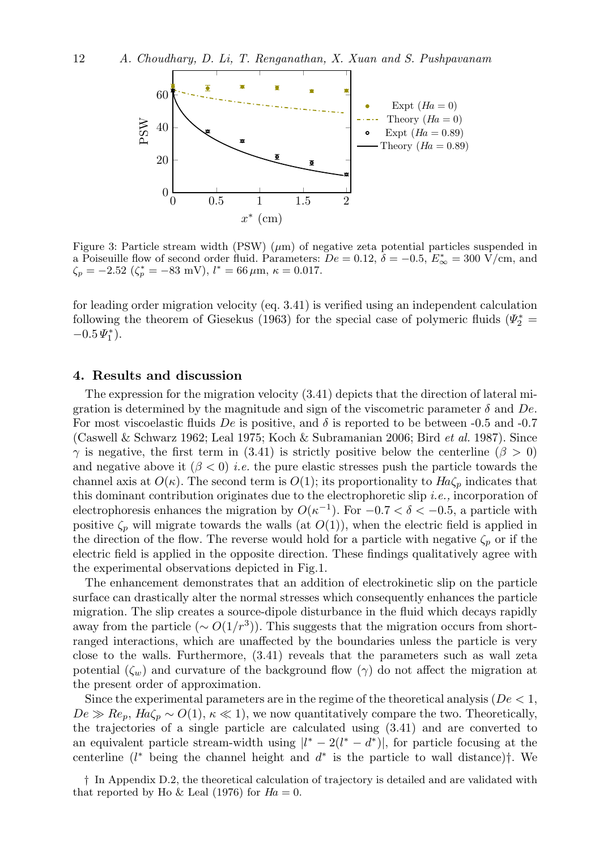

Figure 3: Particle stream width (PSW)  $(\mu m)$  of negative zeta potential particles suspended in a Poiseuille flow of second order fluid. Parameters:  $De = 0.12$ ,  $\delta = -0.5$ ,  $E^*_{\infty} = 300 \text{ V/cm}$ , and  $\zeta_p = -2.52 \; (\zeta_p^* = -83 \; \text{mV}), \, l^* = 66 \, \mu \text{m}, \, \kappa = 0.017.$ 

for leading order migration velocity (eq. 3.41) is verified using an independent calculation following the theorem of Giesekus (1963) for the special case of polymeric fluids ( $\Psi_2^*$  =  $-0.5 \Psi_1^*$ ).

## 4. Results and discussion

The expression for the migration velocity  $(3.41)$  depicts that the direction of lateral migration is determined by the magnitude and sign of the viscometric parameter  $\delta$  and  $De$ . For most viscoelastic fluids  $De$  is positive, and  $\delta$  is reported to be between -0.5 and -0.7 (Caswell & Schwarz 1962; Leal 1975; Koch & Subramanian 2006; Bird et al. 1987). Since  $\gamma$  is negative, the first term in (3.41) is strictly positive below the centerline ( $\beta > 0$ ) and negative above it  $(\beta < 0)$  *i.e.* the pure elastic stresses push the particle towards the channel axis at  $O(\kappa)$ . The second term is  $O(1)$ ; its proportionality to  $H_a\zeta_p$  indicates that this dominant contribution originates due to the electrophoretic slip i.e., incorporation of electrophoresis enhances the migration by  $O(\kappa^{-1})$ . For  $-0.7 < \delta < -0.5$ , a particle with positive  $\zeta_p$  will migrate towards the walls (at  $O(1)$ ), when the electric field is applied in the direction of the flow. The reverse would hold for a particle with negative  $\zeta_p$  or if the electric field is applied in the opposite direction. These findings qualitatively agree with the experimental observations depicted in Fig.1.

The enhancement demonstrates that an addition of electrokinetic slip on the particle surface can drastically alter the normal stresses which consequently enhances the particle migration. The slip creates a source-dipole disturbance in the fluid which decays rapidly away from the particle ( $\sim O(1/r^3)$ ). This suggests that the migration occurs from shortranged interactions, which are unaffected by the boundaries unless the particle is very close to the walls. Furthermore, (3.41) reveals that the parameters such as wall zeta potential  $(\zeta_w)$  and curvature of the background flow  $(\gamma)$  do not affect the migration at the present order of approximation.

Since the experimental parameters are in the regime of the theoretical analysis ( $De < 1$ ,  $De \gg Re_p$ ,  $Ha\zeta_p \sim O(1)$ ,  $\kappa \ll 1$ , we now quantitatively compare the two. Theoretically, the trajectories of a single particle are calculated using (3.41) and are converted to an equivalent particle stream-width using  $|l^* - 2(l^* - d^*)|$ , for particle focusing at the centerline  $(l^*$  being the channel height and  $d^*$  is the particle to wall distance)†. We

† In Appendix D.2, the theoretical calculation of trajectory is detailed and are validated with that reported by Ho & Leal (1976) for  $Ha = 0$ .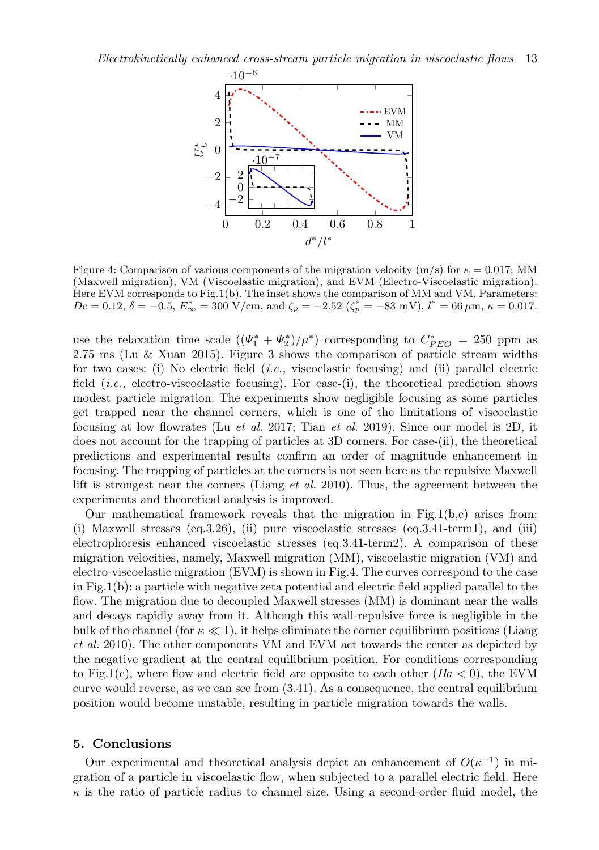

Figure 4: Comparison of various components of the migration velocity (m/s) for  $\kappa = 0.017$ ; MM (Maxwell migration), VM (Viscoelastic migration), and EVM (Electro-Viscoelastic migration). Here EVM corresponds to Fig.1(b). The inset shows the comparison of MM and VM. Parameters:  $De = 0.12, \delta = -0.5, E^*_{\infty} = 300 \text{ V/cm, and } \zeta_p = -2.52 \text{ } (\zeta^*_p = -83 \text{ mV}), l^* = 66 \,\mu\text{m}, \kappa = 0.017.$ 

use the relaxation time scale  $((\Psi_1^* + \Psi_2^*)/\mu^*)$  corresponding to  $C_{PEO}^* = 250$  ppm as 2.75 ms (Lu & Xuan 2015). Figure 3 shows the comparison of particle stream widths for two cases: (i) No electric field  $(i.e.,$  viscoelastic focusing) and (ii) parallel electric field  $(i.e.,$  electro-viscoelastic focusing). For case-(i), the theoretical prediction shows modest particle migration. The experiments show negligible focusing as some particles get trapped near the channel corners, which is one of the limitations of viscoelastic focusing at low flowrates (Lu *et al.* 2017; Tian *et al.* 2019). Since our model is 2D, it does not account for the trapping of particles at 3D corners. For case-(ii), the theoretical predictions and experimental results confirm an order of magnitude enhancement in focusing. The trapping of particles at the corners is not seen here as the repulsive Maxwell lift is strongest near the corners (Liang et al. 2010). Thus, the agreement between the experiments and theoretical analysis is improved.

Our mathematical framework reveals that the migration in Fig.1(b,c) arises from: (i) Maxwell stresses  $(eq.3.26)$ , (ii) pure viscoelastic stresses  $(eq.3.41-term1)$ , and (iii) electrophoresis enhanced viscoelastic stresses (eq.3.41-term2). A comparison of these migration velocities, namely, Maxwell migration (MM), viscoelastic migration (VM) and electro-viscoelastic migration (EVM) is shown in Fig.4. The curves correspond to the case in Fig.1(b): a particle with negative zeta potential and electric field applied parallel to the flow. The migration due to decoupled Maxwell stresses (MM) is dominant near the walls and decays rapidly away from it. Although this wall-repulsive force is negligible in the bulk of the channel (for  $\kappa \ll 1$ ), it helps eliminate the corner equilibrium positions (Liang et al. 2010). The other components VM and EVM act towards the center as depicted by the negative gradient at the central equilibrium position. For conditions corresponding to Fig.1(c), where flow and electric field are opposite to each other  $(Ha < 0)$ , the EVM curve would reverse, as we can see from (3.41). As a consequence, the central equilibrium position would become unstable, resulting in particle migration towards the walls.

#### 5. Conclusions

Our experimental and theoretical analysis depict an enhancement of  $O(\kappa^{-1})$  in migration of a particle in viscoelastic flow, when subjected to a parallel electric field. Here  $\kappa$  is the ratio of particle radius to channel size. Using a second-order fluid model, the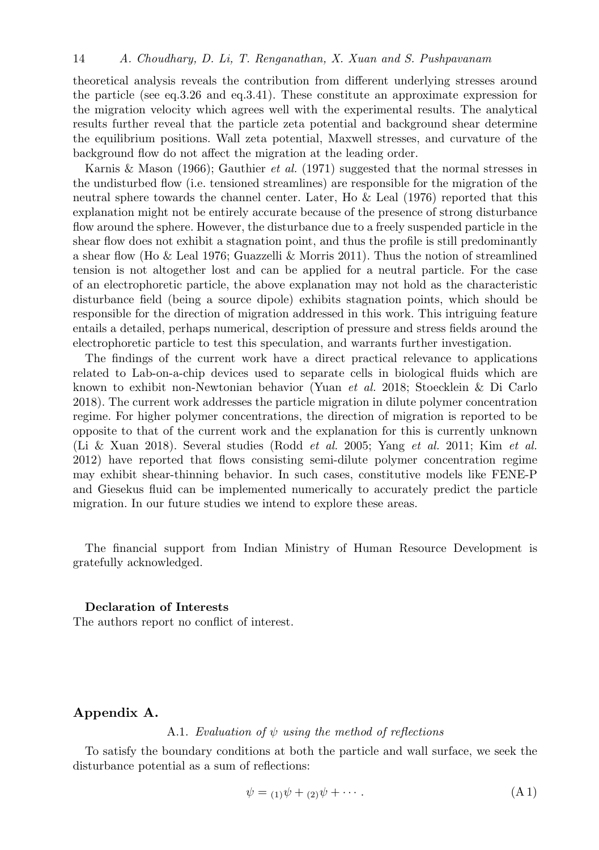theoretical analysis reveals the contribution from different underlying stresses around the particle (see eq.3.26 and eq.3.41). These constitute an approximate expression for the migration velocity which agrees well with the experimental results. The analytical results further reveal that the particle zeta potential and background shear determine the equilibrium positions. Wall zeta potential, Maxwell stresses, and curvature of the background flow do not affect the migration at the leading order.

Karnis & Mason (1966); Gauthier *et al.* (1971) suggested that the normal stresses in the undisturbed flow (i.e. tensioned streamlines) are responsible for the migration of the neutral sphere towards the channel center. Later, Ho & Leal (1976) reported that this explanation might not be entirely accurate because of the presence of strong disturbance flow around the sphere. However, the disturbance due to a freely suspended particle in the shear flow does not exhibit a stagnation point, and thus the profile is still predominantly a shear flow (Ho & Leal 1976; Guazzelli & Morris 2011). Thus the notion of streamlined tension is not altogether lost and can be applied for a neutral particle. For the case of an electrophoretic particle, the above explanation may not hold as the characteristic disturbance field (being a source dipole) exhibits stagnation points, which should be responsible for the direction of migration addressed in this work. This intriguing feature entails a detailed, perhaps numerical, description of pressure and stress fields around the electrophoretic particle to test this speculation, and warrants further investigation.

The findings of the current work have a direct practical relevance to applications related to Lab-on-a-chip devices used to separate cells in biological fluids which are known to exhibit non-Newtonian behavior (Yuan et al. 2018; Stoecklein & Di Carlo 2018). The current work addresses the particle migration in dilute polymer concentration regime. For higher polymer concentrations, the direction of migration is reported to be opposite to that of the current work and the explanation for this is currently unknown (Li & Xuan 2018). Several studies (Rodd et al. 2005; Yang et al. 2011; Kim et al. 2012) have reported that flows consisting semi-dilute polymer concentration regime may exhibit shear-thinning behavior. In such cases, constitutive models like FENE-P and Giesekus fluid can be implemented numerically to accurately predict the particle migration. In our future studies we intend to explore these areas.

The financial support from Indian Ministry of Human Resource Development is gratefully acknowledged.

## Declaration of Interests

The authors report no conflict of interest.

## Appendix A.

#### A.1. Evaluation of  $\psi$  using the method of reflections

To satisfy the boundary conditions at both the particle and wall surface, we seek the disturbance potential as a sum of reflections:

$$
\psi = (1)\psi + (2)\psi + \cdots. \tag{A1}
$$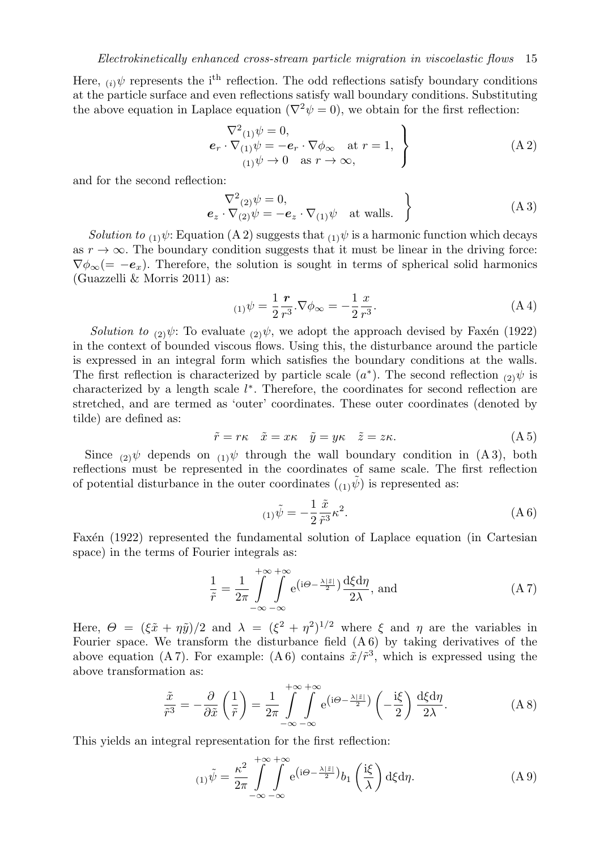Here,  $\omega \psi$  represents the i<sup>th</sup> reflection. The odd reflections satisfy boundary conditions at the particle surface and even reflections satisfy wall boundary conditions. Substituting the above equation in Laplace equation ( $\nabla^2 \psi = 0$ ), we obtain for the first reflection:

$$
\nabla^2(1)\psi = 0,
$$
\n
$$
e_r \cdot \nabla(1)\psi = -e_r \cdot \nabla\phi_\infty \quad \text{at } r = 1,
$$
\n
$$
(A\ 2)
$$
\n
$$
(A\ 2)
$$

and for the second reflection:

$$
\nabla^2_{(2)} \psi = 0, \n\mathbf{e}_z \cdot \nabla_{(2)} \psi = -\mathbf{e}_z \cdot \nabla_{(1)} \psi \quad \text{at walls.}
$$
\n(A3)

Solution to (1) $\psi$ : Equation (A 2) suggests that (1) $\psi$  is a harmonic function which decays as  $r \to \infty$ . The boundary condition suggests that it must be linear in the driving force:  $\nabla \phi_{\infty}(=-e_x)$ . Therefore, the solution is sought in terms of spherical solid harmonics (Guazzelli & Morris 2011) as:

$$
\sum_{(1)} \psi = \frac{1}{2} \frac{r}{r^3} . \nabla \phi_{\infty} = -\frac{1}{2} \frac{x}{r^3} . \tag{A4}
$$

Solution to  $_{(2)}\psi$ : To evaluate  $_{(2)}\psi$ , we adopt the approach devised by Faxén (1922) in the context of bounded viscous flows. Using this, the disturbance around the particle is expressed in an integral form which satisfies the boundary conditions at the walls. The first reflection is characterized by particle scale  $(a^*)$ . The second reflection  $_{(2)}\psi$  is characterized by a length scale  $l^*$ . Therefore, the coordinates for second reflection are stretched, and are termed as 'outer' coordinates. These outer coordinates (denoted by tilde) are defined as:

$$
\tilde{r} = r\kappa \quad \tilde{x} = x\kappa \quad \tilde{y} = y\kappa \quad \tilde{z} = z\kappa. \tag{A.5}
$$

Since  $_{(2)}\psi$  depends on  $_{(1)}\psi$  through the wall boundary condition in (A 3), both reflections must be represented in the coordinates of same scale. The first reflection of potential disturbance in the outer coordinates  $({}_{(1)}\psi)$  is represented as:

$$
\zeta_{(1)}\tilde{\psi} = -\frac{1}{2}\frac{\tilde{x}}{\tilde{r}^3}\kappa^2.
$$
\n(A6)

Faxén (1922) represented the fundamental solution of Laplace equation (in Cartesian space) in the terms of Fourier integrals as:

$$
\frac{1}{\tilde{r}} = \frac{1}{2\pi} \int_{-\infty}^{+\infty} \int_{-\infty}^{+\infty} e^{(i\Theta - \frac{\lambda |\tilde{z}|}{2})} \frac{d\xi d\eta}{2\lambda}, \text{ and} \qquad (A7)
$$

Here,  $\Theta = (\xi \tilde{x} + \eta \tilde{y})/2$  and  $\lambda = (\xi^2 + \eta^2)^{1/2}$  where  $\xi$  and  $\eta$  are the variables in Fourier space. We transform the disturbance field (A 6) by taking derivatives of the above equation (A7). For example: (A6) contains  $\tilde{x}/\tilde{r}^3$ , which is expressed using the above transformation as:

$$
\frac{\tilde{x}}{\tilde{r}^3} = -\frac{\partial}{\partial \tilde{x}} \left( \frac{1}{\tilde{r}} \right) = \frac{1}{2\pi} \int_{-\infty}^{+\infty} \int_{-\infty}^{+\infty} e^{(i\Theta - \frac{\lambda |\tilde{z}|}{2})} \left( -\frac{i\xi}{2} \right) \frac{d\xi d\eta}{2\lambda}.
$$
 (A 8)

This yields an integral representation for the first reflection:

$$
\sum_{(1)}\tilde{\psi} = \frac{\kappa^2}{2\pi} \int_{-\infty}^{+\infty} \int_{-\infty}^{+\infty} e^{(i\Theta - \frac{\lambda|\tilde{z}|}{2})} b_1\left(\frac{i\xi}{\lambda}\right) d\xi d\eta.
$$
 (A 9)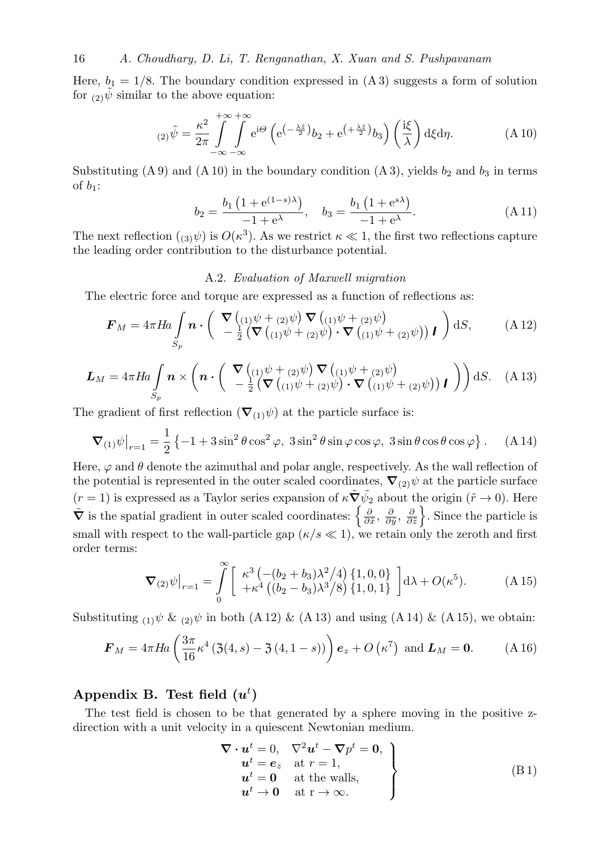16 A. Choudhary, D. Li, T. Renganathan, X. Xuan and S. Pushpavanam

Here,  $b_1 = 1/8$ . The boundary condition expressed in  $(A3)$  suggests a form of solution for  $(2)\psi$  similar to the above equation:

$$
(2)\tilde{\psi} = \frac{\kappa^2}{2\pi} \int_{-\infty}^{+\infty} \int_{-\infty}^{+\infty} e^{i\Theta} \left( e^{\left(-\frac{\lambda \tilde{z}}{2}\right)} b_2 + e^{\left(+\frac{\lambda \tilde{z}}{2}\right)} b_3 \right) \left(\frac{i\xi}{\lambda}\right) d\xi d\eta.
$$
 (A 10)

Substituting (A 9) and (A 10) in the boundary condition (A 3), yields  $b_2$  and  $b_3$  in terms of  $b_1$ :

$$
b_2 = \frac{b_1 \left(1 + e^{(1-s)\lambda}\right)}{-1 + e^{\lambda}}, \quad b_3 = \frac{b_1 \left(1 + e^{s\lambda}\right)}{-1 + e^{\lambda}}.
$$
 (A 11)

The next reflection  $(3\psi)$  is  $O(\kappa^3)$ . As we restrict  $\kappa \ll 1$ , the first two reflections capture the leading order contribution to the disturbance potential.

## A.2. Evaluation of Maxwell migration

The electric force and torque are expressed as a function of reflections as:

$$
\boldsymbol{F}_M = 4\pi H a \int_{S_p} \boldsymbol{n} \cdot \left( \begin{array}{c} \nabla \left( \begin{array}{c} (1) \psi + (2) \psi \end{array} \right) \nabla \left( \begin{array}{c} (1) \psi + (2) \psi \end{array} \right) \\ \nabla \left( \begin{array}{c} (1) \psi + (2) \psi \end{array} \right) \cdot \nabla \left( \begin{array}{c} (1) \psi + (2) \psi \end{array} \right) \boldsymbol{I} \right) dS, \qquad (A 12)
$$

$$
\mathbf{L}_M = 4\pi Ha \int_{S_p} \boldsymbol{n} \times \left( \boldsymbol{n} \cdot \begin{pmatrix} \nabla \left( \begin{array}{c} 1 \psi + (2)\psi \end{array} \right) \nabla \left( \begin{array}{c} 1 \psi + (2)\psi \end{array} \right) \\ \nabla \left( \begin{array}{c} 1 \psi + (2)\psi \end{array} \right) \cdot \nabla \left( \begin{array}{c} 1 \psi + (2)\psi \end{array} \right) \cdot \nabla \left( \begin{array}{c} 1 \psi + (2)\psi \end{array} \right) \boldsymbol{l} \end{pmatrix} \right) dS. \quad (A 13)
$$

The gradient of first reflection  $(\nabla_{(1)}\psi)$  at the particle surface is:

$$
\nabla_{(1)}\psi\big|_{r=1} = \frac{1}{2} \left\{-1 + 3\sin^2\theta\cos^2\varphi, 3\sin^2\theta\sin\varphi\cos\varphi, 3\sin\theta\cos\theta\cos\varphi\right\}.
$$
 (A 14)

Here,  $\varphi$  and  $\theta$  denote the azimuthal and polar angle, respectively. As the wall reflection of the potential is represented in the outer scaled coordinates,  $\nabla_{(2)}\psi$  at the particle surface  $(r = 1)$  is expressed as a Taylor series expansion of  $\kappa \tilde{\nabla} \tilde{\psi}_2$  about the origin  $(\tilde{r} \to 0)$ . Here  $\tilde{\nabla}$  is the spatial gradient in outer scaled coordinates:  $\left\{\frac{\partial}{\partial \tilde{x}}, \frac{\partial}{\partial \tilde{y}}, \frac{\partial}{\partial \tilde{z}}\right\}$ . Since the particle is small with respect to the wall-particle gap ( $\kappa/s \ll 1$ ), we retain only the zeroth and first order terms:

$$
\nabla_{(2)}\psi\big|_{r=1} = \int_{0}^{\infty} \left[ \begin{array}{c} \kappa^3 \left( -(b_2 + b_3)\lambda^2 / 4 \right) \{1, 0, 0 \} \\ + \kappa^4 \left( (b_2 - b_3)\lambda^3 / 8 \right) \{1, 0, 1 \} \end{array} \right] d\lambda + O(\kappa^5). \tag{A.15}
$$

Substituting  $_{(1)}\psi$  &  $_{(2)}\psi$  in both (A 12) & (A 13) and using (A 14) & (A 15), we obtain:

$$
\boldsymbol{F}_M = 4\pi H\!a \left( \frac{3\pi}{16} \kappa^4 \left( 3(4, s) - 3(4, 1 - s) \right) \right) \boldsymbol{e}_z + O\left( \kappa^7 \right) \text{ and } \boldsymbol{L}_M = \mathbf{0}. \tag{A.16}
$$

## Appendix B. Test field  $(u^t)$

The test field is chosen to be that generated by a sphere moving in the positive zdirection with a unit velocity in a quiescent Newtonian medium.

$$
\nabla \cdot \mathbf{u}^t = 0, \quad \nabla^2 \mathbf{u}^t - \nabla p^t = 0, \n\mathbf{u}^t = \mathbf{e}_z \quad \text{at } r = 1, \n\mathbf{u}^t = \mathbf{0} \quad \text{at the walls,} \n\mathbf{u}^t \rightarrow 0 \quad \text{at } r \rightarrow \infty.
$$
\n(B1)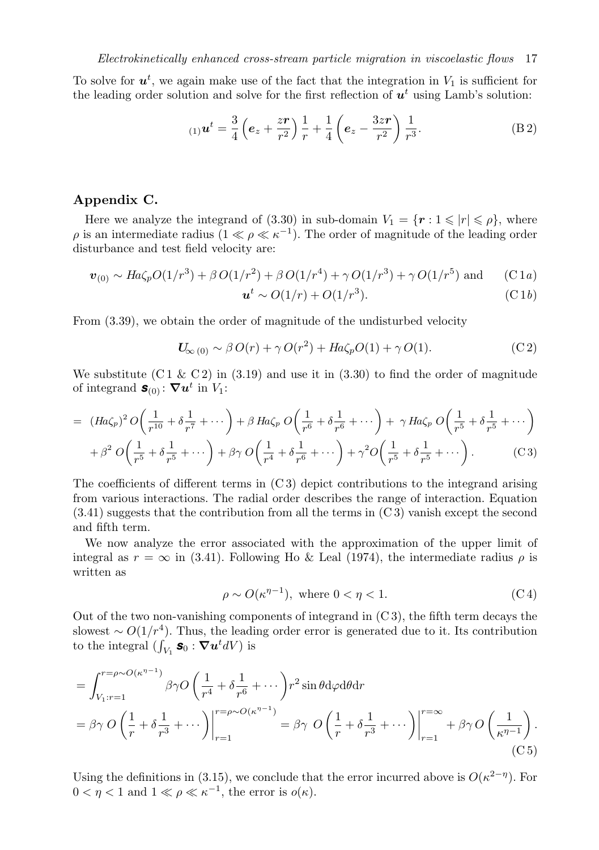To solve for  $u^t$ , we again make use of the fact that the integration in  $V_1$  is sufficient for the leading order solution and solve for the first reflection of  $u<sup>t</sup>$  using Lamb's solution:

$$
\text{(1)}\,\mathbf{u}^t = \frac{3}{4}\left(\mathbf{e}_z + \frac{z\mathbf{r}}{r^2}\right)\frac{1}{r} + \frac{1}{4}\left(\mathbf{e}_z - \frac{3z\mathbf{r}}{r^2}\right)\frac{1}{r^3}.\tag{B.2}
$$

## Appendix C.

Here we analyze the integrand of (3.30) in sub-domain  $V_1 = \{r : 1 \leq r \leq \rho\}$ , where  $\rho$  is an intermediate radius  $(1 \ll \rho \ll \kappa^{-1})$ . The order of magnitude of the leading order disturbance and test field velocity are:

$$
\boldsymbol{v}_{(0)} \sim Ha\zeta_p O(1/r^3) + \beta O(1/r^2) + \beta O(1/r^4) + \gamma O(1/r^3) + \gamma O(1/r^5) \text{ and } \qquad (C1a)
$$

$$
\boldsymbol{u}^t \sim O(1/r) + O(1/r^3). \tag{C.1b}
$$

From (3.39), we obtain the order of magnitude of the undisturbed velocity

$$
U_{\infty(0)} \sim \beta O(r) + \gamma O(r^2) + Ha\zeta_p O(1) + \gamma O(1). \tag{C2}
$$

We substitute  $(C1 \& C2)$  in  $(3.19)$  and use it in  $(3.30)$  to find the order of magnitude of integrand  $\mathbf{s}_{(0)}$ :  $\nabla u^t$  in  $V_1$ :

$$
= (Ha\zeta_p)^2 O\left(\frac{1}{r^{10}} + \delta\frac{1}{r^7} + \cdots\right) + \beta Ha\zeta_p O\left(\frac{1}{r^6} + \delta\frac{1}{r^6} + \cdots\right) + \gamma Ha\zeta_p O\left(\frac{1}{r^5} + \delta\frac{1}{r^5} + \cdots\right) + \beta^2 O\left(\frac{1}{r^5} + \delta\frac{1}{r^5} + \cdots\right) + \beta\gamma O\left(\frac{1}{r^4} + \delta\frac{1}{r^6} + \cdots\right) + \gamma^2 O\left(\frac{1}{r^5} + \delta\frac{1}{r^5} + \cdots\right).
$$
 (C3)

The coefficients of different terms in  $(C3)$  depict contributions to the integrand arising from various interactions. The radial order describes the range of interaction. Equation (3.41) suggests that the contribution from all the terms in (C 3) vanish except the second and fifth term.

We now analyze the error associated with the approximation of the upper limit of integral as  $r = \infty$  in (3.41). Following Ho & Leal (1974), the intermediate radius  $\rho$  is written as

$$
\rho \sim O(\kappa^{\eta - 1}), \text{ where } 0 < \eta < 1. \tag{C.4}
$$

Out of the two non-vanishing components of integrand in  $(C3)$ , the fifth term decays the slowest  $\sim O(1/r^4)$ . Thus, the leading order error is generated due to it. Its contribution to the integral  $(\int_{V_1}$ **s**<sub>0</sub> :  $\nabla$ **u**<sup>t</sup>dV) is

$$
= \int_{V_1:r=1}^{r=\rho\sim O(\kappa^{\eta-1})} \beta\gamma O\left(\frac{1}{r^4} + \delta\frac{1}{r^6} + \cdots\right) r^2 \sin\theta \,d\varphi \,d\theta \,dr
$$
  
=  $\beta\gamma O\left(\frac{1}{r} + \delta\frac{1}{r^3} + \cdots\right)\Big|_{r=1}^{r=\rho\sim O(\kappa^{\eta-1})} = \beta\gamma O\left(\frac{1}{r} + \delta\frac{1}{r^3} + \cdots\right)\Big|_{r=1}^{r=\infty} + \beta\gamma O\left(\frac{1}{\kappa^{\eta-1}}\right).$  (C5)

Using the definitions in (3.15), we conclude that the error incurred above is  $O(\kappa^{2-\eta})$ . For  $0 < \eta < 1$  and  $1 \ll \rho \ll \kappa^{-1}$ , the error is  $o(\kappa)$ .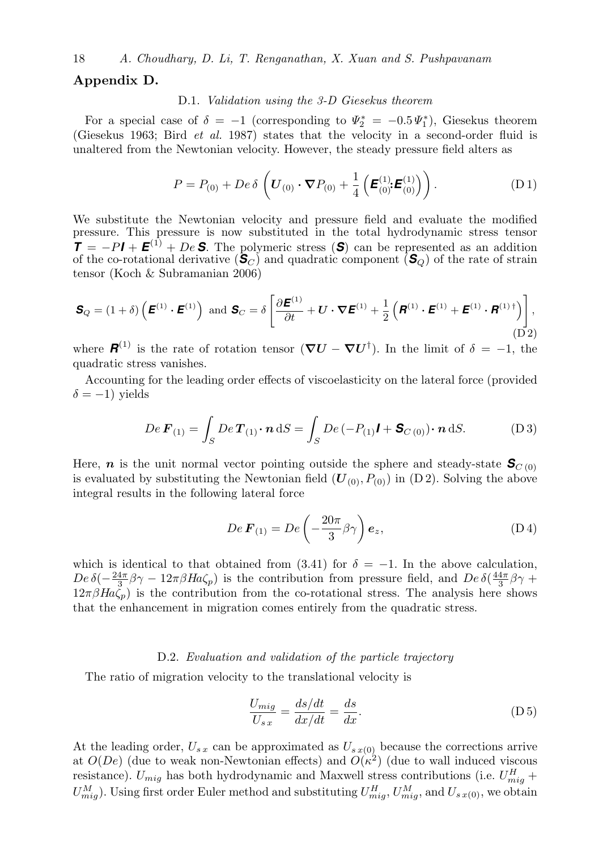## Appendix D.

## D.1. Validation using the 3-D Giesekus theorem

For a special case of  $\delta = -1$  (corresponding to  $\Psi_2^* = -0.5 \Psi_1^*$ ), Giesekus theorem (Giesekus 1963; Bird et al. 1987) states that the velocity in a second-order fluid is unaltered from the Newtonian velocity. However, the steady pressure field alters as

$$
P = P_{(0)} + De \delta \left( \mathbf{U}_{(0)} \cdot \nabla P_{(0)} + \frac{1}{4} \left( \mathbf{E}_{(0)}^{(1)} \mathbf{E}_{(0)}^{(1)} \right) \right). \tag{D.1}
$$

We substitute the Newtonian velocity and pressure field and evaluate the modified pressure. This pressure is now substituted in the total hydrodynamic stress tensor  $\mathbf{T} = -P\mathbf{I} + \mathbf{E}^{(1)} + De \mathbf{S}$ . The polymeric stress (S) can be represented as an addition of the co-rotational derivative  $(\mathbf{\hat{S}}_C)$  and quadratic component  $(\mathbf{\hat{S}}_Q)$  of the rate of strain tensor (Koch & Subramanian 2006)

$$
\mathbf{S}_{Q} = (1+\delta) \left( \boldsymbol{E}^{(1)} \cdot \boldsymbol{E}^{(1)} \right) \text{ and } \mathbf{S}_{C} = \delta \left[ \frac{\partial \boldsymbol{E}^{(1)}}{\partial t} + \boldsymbol{U} \cdot \boldsymbol{\nabla} \boldsymbol{E}^{(1)} + \frac{1}{2} \left( \boldsymbol{R}^{(1)} \cdot \boldsymbol{E}^{(1)} + \boldsymbol{E}^{(1)} \cdot \boldsymbol{R}^{(1) \dagger} \right) \right],
$$
\n(D2)

where  $\mathbf{R}^{(1)}$  is the rate of rotation tensor  $(\nabla U - \nabla U^{\dagger})$ . In the limit of  $\delta = -1$ , the quadratic stress vanishes.

Accounting for the leading order effects of viscoelasticity on the lateral force (provided  $\delta = -1$ ) yields

$$
De\,\mathbf{F}_{(1)} = \int_{S} De\,\mathbf{T}_{(1)} \cdot \mathbf{n} \, \mathrm{d}S = \int_{S} De\,(-P_{(1)}\mathbf{I} + \mathbf{S}_{C\,(0)}) \cdot \mathbf{n} \, \mathrm{d}S. \tag{D.3}
$$

Here, *n* is the unit normal vector pointing outside the sphere and steady-state  $S_{C(0)}$ is evaluated by substituting the Newtonian field  $(U_{(0)}, P_{(0)})$  in  $(D 2)$ . Solving the above integral results in the following lateral force

$$
De\,\boldsymbol{F}_{(1)} = De\left(-\frac{20\pi}{3}\beta\gamma\right)\boldsymbol{e}_z,\tag{D4}
$$

which is identical to that obtained from  $(3.41)$  for  $\delta = -1$ . In the above calculation,  $De \delta(-\frac{24\pi}{3}\beta\gamma - 12\pi\beta H a\zeta_p)$  is the contribution from pressure field, and  $De \delta(\frac{44\pi}{3}\beta\gamma +$  $12\pi\beta H a \zeta_p$ ) is the contribution from the co-rotational stress. The analysis here shows that the enhancement in migration comes entirely from the quadratic stress.

#### D.2. Evaluation and validation of the particle trajectory

The ratio of migration velocity to the translational velocity is

$$
\frac{U_{mig}}{U_{s\,x}} = \frac{ds/dt}{dx/dt} = \frac{ds}{dx}.
$$
\n(D5)

At the leading order,  $U_{s,x}$  can be approximated as  $U_{s,x(0)}$  because the corrections arrive at  $O(De)$  (due to weak non-Newtonian effects) and  $O(\kappa^2)$  (due to wall induced viscous resistance).  $U_{mig}$  has both hydrodynamic and Maxwell stress contributions (i.e.  $U_{mig}^H$  +  $U_{mig}^M$ ). Using first order Euler method and substituting  $U_{mig}^H$ ,  $U_{mig}^M$ , and  $U_{sx(0)}$ , we obtain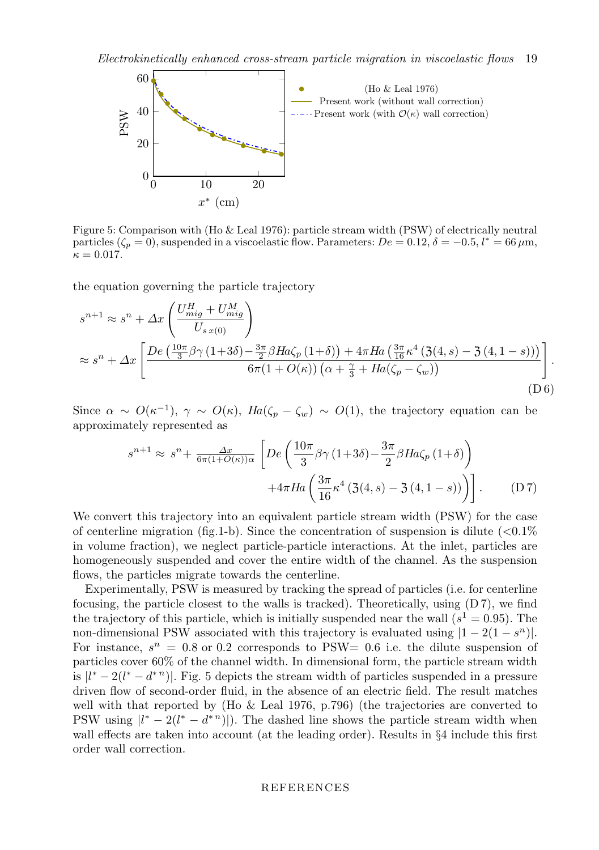

Figure 5: Comparison with (Ho & Leal 1976): particle stream width (PSW) of electrically neutral particles ( $\zeta_p = 0$ ), suspended in a viscoelastic flow. Parameters:  $De = 0.12$ ,  $\delta = -0.5$ ,  $l^* = 66 \,\mu \text{m}$ ,  $\kappa = 0.017$ .

the equation governing the particle trajectory

$$
s^{n+1} \approx s^n + \Delta x \left( \frac{U_{mig}^H + U_{mig}^M}{U_{s\,x(0)}} \right)
$$
  

$$
\approx s^n + \Delta x \left[ \frac{De\left(\frac{10\pi}{3}\beta\gamma (1+3\delta) - \frac{3\pi}{2}\beta Ha\zeta_p (1+\delta)\right) + 4\pi Ha\left(\frac{3\pi}{16}\kappa^4 (3(4,s) - 3(4,1-s))\right)}{6\pi (1 + O(\kappa))\left(\alpha + \frac{\gamma}{3} + Ha(\zeta_p - \zeta_w)\right)} \right].
$$
  
(D6)

Since  $\alpha \sim O(\kappa^{-1}), \gamma \sim O(\kappa), H_a(\zeta_p - \zeta_w) \sim O(1)$ , the trajectory equation can be approximately represented as

$$
s^{n+1} \approx s^n + \frac{\Delta x}{6\pi (1+O(\kappa))\alpha} \left[ De \left( \frac{10\pi}{3} \beta \gamma (1+3\delta) - \frac{3\pi}{2} \beta Ha \zeta_p (1+\delta) \right) + 4\pi Ha \left( \frac{3\pi}{16} \kappa^4 (3(4,s) - 3(4,1-s)) \right) \right].
$$
 (D7)

We convert this trajectory into an equivalent particle stream width (PSW) for the case of centerline migration (fig.1-b). Since the concentration of suspension is dilute  $\langle 0.1\%$ in volume fraction), we neglect particle-particle interactions. At the inlet, particles are homogeneously suspended and cover the entire width of the channel. As the suspension flows, the particles migrate towards the centerline.

Experimentally, PSW is measured by tracking the spread of particles (i.e. for centerline focusing, the particle closest to the walls is tracked). Theoretically, using (D 7), we find the trajectory of this particle, which is initially suspended near the wall  $(s^1 = 0.95)$ . The non-dimensional PSW associated with this trajectory is evaluated using  $|1 - 2(1 - s^n)|$ . For instance,  $s^n = 0.8$  or 0.2 corresponds to PSW= 0.6 i.e. the dilute suspension of particles cover 60% of the channel width. In dimensional form, the particle stream width is  $|l^* - 2(l^* - d^{*n})|$ . Fig. 5 depicts the stream width of particles suspended in a pressure driven flow of second-order fluid, in the absence of an electric field. The result matches well with that reported by (Ho  $\&$  Leal 1976, p.796) (the trajectories are converted to PSW using  $\left|l^* - 2(l^* - d^{*n})\right|$ . The dashed line shows the particle stream width when wall effects are taken into account (at the leading order). Results in §4 include this first order wall correction.

#### REFERENCES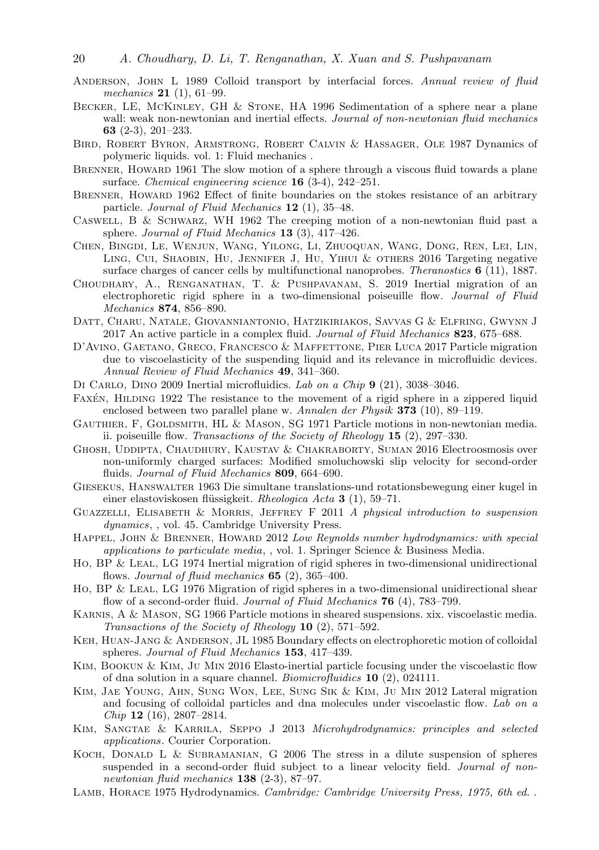- ANDERSON, JOHN L 1989 Colloid transport by interfacial forces. Annual review of fluid mechanics 21 (1), 61–99.
- Becker, LE, McKinley, GH & Stone, HA 1996 Sedimentation of a sphere near a plane wall: weak non-newtonian and inertial effects. Journal of non-newtonian fluid mechanics 63 (2-3), 201–233.
- Bird, Robert Byron, Armstrong, Robert Calvin & Hassager, Ole 1987 Dynamics of polymeric liquids. vol. 1: Fluid mechanics .
- BRENNER, HOWARD 1961 The slow motion of a sphere through a viscous fluid towards a plane surface. Chemical engineering science  $16$  (3-4), 242–251.
- BRENNER, HOWARD 1962 Effect of finite boundaries on the stokes resistance of an arbitrary particle. Journal of Fluid Mechanics 12 (1), 35-48.
- CASWELL, B & SCHWARZ, WH 1962 The creeping motion of a non-newtonian fluid past a sphere. Journal of Fluid Mechanics 13 (3), 417–426.
- Chen, Bingdi, Le, Wenjun, Wang, Yilong, Li, Zhuoquan, Wang, Dong, Ren, Lei, Lin, Ling, Cui, Shaobin, Hu, Jennifer J, Hu, Yihui & others 2016 Targeting negative surface charges of cancer cells by multifunctional nanoprobes. Theranostics  $\mathbf{6}$  (11), 1887.
- Choudhary, A., Renganathan, T. & Pushpavanam, S. 2019 Inertial migration of an electrophoretic rigid sphere in a two-dimensional poiseuille flow. Journal of Fluid Mechanics 874, 856–890.
- Datt, Charu, Natale, Giovanniantonio, Hatzikiriakos, Savvas G & Elfring, Gwynn J 2017 An active particle in a complex fluid. Journal of Fluid Mechanics 823, 675–688.
- D'Avino, Gaetano, Greco, Francesco & Maffettone, Pier Luca 2017 Particle migration due to viscoelasticity of the suspending liquid and its relevance in microfluidic devices. Annual Review of Fluid Mechanics 49, 341–360.
- DI CARLO, DINO 2009 Inertial microfluidics. Lab on a Chip 9 (21), 3038–3046.
- FAXEN, HILDING 1922 The resistance to the movement of a rigid sphere in a zippered liquid enclosed between two parallel plane w. Annalen der Physik 373 (10), 89–119.
- GAUTHIER, F, GOLDSMITH, HL & MASON, SG 1971 Particle motions in non-newtonian media. ii. poiseuille flow. Transactions of the Society of Rheology  $15$  (2), 297–330.
- Ghosh, Uddipta, Chaudhury, Kaustav & Chakraborty, Suman 2016 Electroosmosis over non-uniformly charged surfaces: Modified smoluchowski slip velocity for second-order fluids. Journal of Fluid Mechanics 809, 664-690.
- Giesekus, Hanswalter 1963 Die simultane translations-und rotationsbewegung einer kugel in einer elastoviskosen flüssigkeit. Rheologica Acta 3 (1), 59–71.
- Guazzelli, Elisabeth & Morris, Jeffrey F 2011 A physical introduction to suspension dynamics, , vol. 45. Cambridge University Press.
- HAPPEL, JOHN & BRENNER, HOWARD 2012 Low Reynolds number hydrodynamics: with special applications to particulate media, , vol. 1. Springer Science & Business Media.
- Ho, BP & Leal, LG 1974 Inertial migration of rigid spheres in two-dimensional unidirectional flows. Journal of fluid mechanics  $65$  (2), 365-400.
- Ho, BP & LEAL, LG 1976 Migration of rigid spheres in a two-dimensional unidirectional shear flow of a second-order fluid. Journal of Fluid Mechanics **76** (4), 783–799.
- Karnis, A & Mason, SG 1966 Particle motions in sheared suspensions. xix. viscoelastic media. Transactions of the Society of Rheology  $10$  (2), 571–592.
- Keh, Huan-Jang & Anderson, JL 1985 Boundary effects on electrophoretic motion of colloidal spheres. Journal of Fluid Mechanics 153, 417–439.
- KIM, BOOKUN & KIM, JU MIN 2016 Elasto-inertial particle focusing under the viscoelastic flow of dna solution in a square channel. Biomicrofluidics 10 (2), 024111.
- Kim, Jae Young, Ahn, Sung Won, Lee, Sung Sik & Kim, Ju Min 2012 Lateral migration and focusing of colloidal particles and dna molecules under viscoelastic flow. Lab on a Chip 12 (16), 2807–2814.
- Kim, Sangtae & Karrila, Seppo J 2013 Microhydrodynamics: principles and selected applications. Courier Corporation.
- Koch, Donald L & Subramanian, G 2006 The stress in a dilute suspension of spheres suspended in a second-order fluid subject to a linear velocity field. Journal of nonnewtonian fluid mechanics 138 (2-3), 87–97.
- LAMB, HORACE 1975 Hydrodynamics. Cambridge: Cambridge University Press, 1975, 6th ed. .